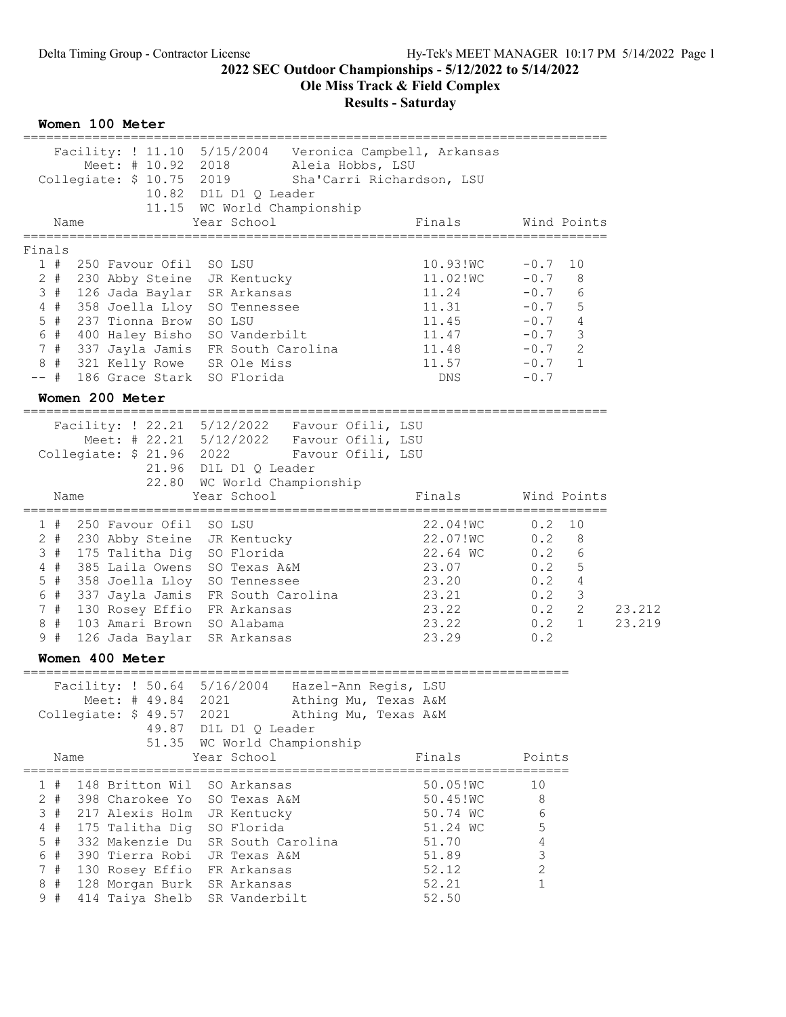Ole Miss Track & Field Complex

| Facility: ! 11.10 5/15/2004 Veronica Campbell, Arkansas<br>Meet: # 10.92 2018<br>Aleia Hobbs, LSU<br>Collegiate: \$ 10.75 2019<br>Sha'Carri Richardson, LSU<br>10.82 D1L D1 Q Leader<br>11.15 WC World Championship<br>Year School<br>Finals<br>Name<br>================<br>Finals<br>1#<br>10.93!WC<br>250 Favour Ofil<br>SO LSU<br>11.02!WC<br>$2 +$<br>230 Abby Steine<br>JR Kentucky                                                                                             | Wind Points<br>$-0.7$<br>10<br>$-0.7$<br>8<br>$-0.7$<br>6                                                                          |                  |
|--------------------------------------------------------------------------------------------------------------------------------------------------------------------------------------------------------------------------------------------------------------------------------------------------------------------------------------------------------------------------------------------------------------------------------------------------------------------------------------|------------------------------------------------------------------------------------------------------------------------------------|------------------|
|                                                                                                                                                                                                                                                                                                                                                                                                                                                                                      |                                                                                                                                    |                  |
|                                                                                                                                                                                                                                                                                                                                                                                                                                                                                      |                                                                                                                                    |                  |
|                                                                                                                                                                                                                                                                                                                                                                                                                                                                                      |                                                                                                                                    |                  |
| 11.24<br>SR Arkansas                                                                                                                                                                                                                                                                                                                                                                                                                                                                 |                                                                                                                                    |                  |
| 126 Jada Baylar<br>3#<br>11.31<br>$4$ #<br>358 Joella Lloy<br>SO Tennessee<br>$5$ #<br>237 Tionna Brow<br>SO LSU<br>11.45                                                                                                                                                                                                                                                                                                                                                            | $5^{\circ}$<br>$-0.7$<br>$-0.7$ 4                                                                                                  |                  |
| 6 #<br>400 Haley Bisho<br>SO Vanderbilt<br>11.47<br>7#<br>337 Jayla Jamis FR South Carolina<br>11.48<br>8#<br>321 Kelly Rowe<br>SR Ole Miss<br>11.57<br>186 Grace Stark SO Florida<br>-- #<br>DNS.                                                                                                                                                                                                                                                                                   | $-0.7$ 3<br>2<br>$-0.7$<br>$-0.7$<br>$\mathbf{1}$<br>$-0.7$                                                                        |                  |
| Women 200 Meter                                                                                                                                                                                                                                                                                                                                                                                                                                                                      |                                                                                                                                    |                  |
| Facility: ! 22.21 5/12/2022  Favour Ofili, LSU<br>Meet: # 22.21 5/12/2022  Favour Ofili, LSU<br>Collegiate: \$ 21.96 2022<br>Favour Ofili, LSU<br>21.96 D1L D1 Q Leader<br>22.80<br>WC World Championship                                                                                                                                                                                                                                                                            |                                                                                                                                    |                  |
| Year School<br>Finals<br>Name                                                                                                                                                                                                                                                                                                                                                                                                                                                        | Wind Points                                                                                                                        |                  |
| 1#<br>250 Favour Ofil<br>SO LSU<br>22.04!WC<br>22.07!WC<br>JR Kentucky<br>2 #<br>230 Abby Steine<br>22.64 WC<br>175 Talitha Dig<br>SO Florida<br>3#<br>$4$ #<br>385 Laila Owens<br>SO Texas A&M<br>23.07<br>$5$ #<br>358 Joella Lloy<br>23.20<br>SO Tennessee<br>6 #<br>337 Jayla Jamis FR South Carolina<br>23.21<br>7#<br>130 Rosey Effio FR Arkansas<br>23.22<br>8#<br>103 Amari Brown<br>23.22<br>SO Alabama<br>9#<br>23.29<br>126 Jada Baylar<br>SR Arkansas                    | 0.2<br>10<br>0.2<br>8<br>0.2 6<br>0.2 5<br>$\overline{4}$<br>0.2<br>$\mathcal{S}$<br>0.2<br>2<br>0.2<br>0.2<br>$\mathbf{1}$<br>0.2 | 23.212<br>23.219 |
| Women 400 Meter                                                                                                                                                                                                                                                                                                                                                                                                                                                                      |                                                                                                                                    |                  |
| :=============================<br>Facility: ! 50.64 5/16/2004 Hazel-Ann Regis, LSU<br>Meet: # 49.84<br>Athing Mu, Texas A&M<br>2021<br>Collegiate: \$ 49.57 2021<br>Athing Mu, Texas A&M<br>49.87 D1L D1 Q Leader<br>51.35 WC World Championship                                                                                                                                                                                                                                     |                                                                                                                                    |                  |
| Year School<br>Finals<br>Name                                                                                                                                                                                                                                                                                                                                                                                                                                                        | Points                                                                                                                             |                  |
| 148 Britton Wil<br>SO Arkansas<br>50.05!WC<br>1#<br>$2 +$<br>50.45!WC<br>398 Charokee Yo<br>SO Texas A&M<br>3#<br>217 Alexis Holm<br>JR Kentucky<br>50.74 WC<br>$4$ #<br>SO Florida<br>175 Talitha Dig<br>51.24 WC<br>$5$ #<br>SR South Carolina<br>332 Makenzie Du<br>51.70<br>6 #<br>51.89<br>390 Tierra Robi<br>JR Texas A&M<br>7#<br>130 Rosey Effio<br>FR Arkansas<br>52.12<br>8#<br>128 Morgan Burk<br>SR Arkansas<br>52.21<br>9#<br>414 Taiya Shelb<br>SR Vanderbilt<br>52.50 | 10<br>8<br>6<br>$\mathsf S$<br>$\overline{4}$<br>3<br>2<br>1                                                                       |                  |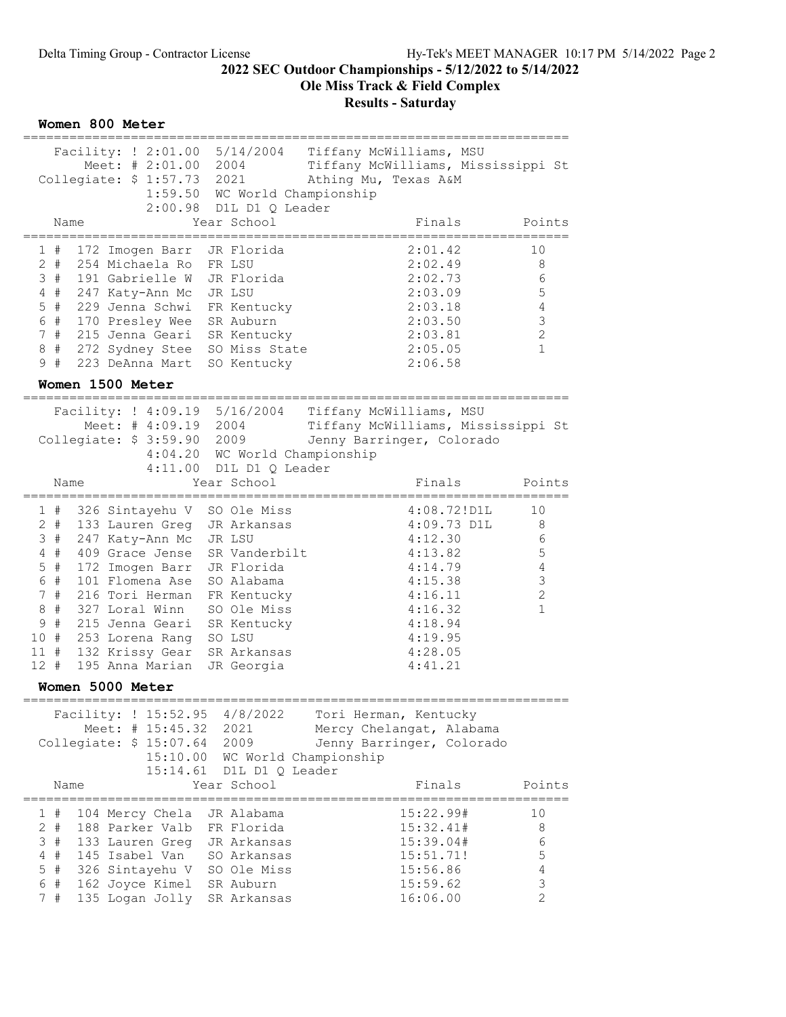Ole Miss Track & Field Complex

| Women 800 Meter                                                                                                                                                                                                                                                                                                                                                                                                                                                                                                                                                                                                                                                                                                      |                                                                         |
|----------------------------------------------------------------------------------------------------------------------------------------------------------------------------------------------------------------------------------------------------------------------------------------------------------------------------------------------------------------------------------------------------------------------------------------------------------------------------------------------------------------------------------------------------------------------------------------------------------------------------------------------------------------------------------------------------------------------|-------------------------------------------------------------------------|
| Facility: ! 2:01.00 5/14/2004 Tiffany McWilliams, MSU<br>Meet: # 2:01.00 2004<br>Tiffany McWilliams, Mississippi St<br>Collegiate: \$ 1:57.73 2021<br>Athing Mu, Texas A&M<br>1:59.50 WC World Championship<br>2:00.98 D1L D1 Q Leader                                                                                                                                                                                                                                                                                                                                                                                                                                                                               |                                                                         |
| Year School<br>Finals<br>Name                                                                                                                                                                                                                                                                                                                                                                                                                                                                                                                                                                                                                                                                                        | Points<br>-------                                                       |
| 2:01.42<br>1#<br>172 Imogen Barr<br>JR Florida<br>2:02.49<br>$2 +$<br>254 Michaela Ro<br>FR LSU<br>2:02.73<br>3<br>#<br>191 Gabrielle W<br>JR Florida<br>247 Katy-Ann Mc<br>JR LSU<br>2:03.09<br>#<br>4<br>#<br>229 Jenna Schwi<br>FR Kentucky<br>2:03.18<br>5<br>6 #<br>SR Auburn<br>170 Presley Wee<br>2:03.50<br>#<br>215 Jenna Geari SR Kentucky<br>$7\phantom{.}$<br>2:03.81<br>#<br>SO Miss State<br>8<br>272 Sydney Stee<br>2:05.05<br>#<br>223 DeAnna Mart<br>9<br>2:06.58<br>SO Kentucky<br>Women 1500 Meter                                                                                                                                                                                                | 10<br>8<br>6<br>5<br>4<br>$\mathcal{S}$<br>$\mathbf{2}$<br>$\mathbf{1}$ |
| Facility: ! 4:09.19 5/16/2004<br>Tiffany McWilliams, MSU<br>Meet: # 4:09.19 2004<br>Tiffany McWilliams, Mississippi St<br>Collegiate: \$ 3:59.90 2009<br>Jenny Barringer, Colorado<br>4:04.20 WC World Championship<br>4:11.00 D1L D1 Q Leader<br>Year School<br>Name<br>Finals                                                                                                                                                                                                                                                                                                                                                                                                                                      | Points                                                                  |
| 4:08.72!<br>326 Sintayehu V SO Ole Miss<br>1#<br>$2 +$<br>133 Lauren Greg<br>$4:09.73$ D1L<br>JR Arkansas<br>247 Katy-Ann Mc<br>4:12.30<br>3#<br>JR LSU<br>#<br>409 Grace Jense<br>SR Vanderbilt<br>4:13.82<br>4<br>$\#$<br>5 <sup>1</sup><br>172 Imogen Barr<br>JR Florida<br>4:14.79<br>6<br>#<br>101 Flomena Ase<br>4:15.38<br>SO Alabama<br>$\#$<br>$7^{\circ}$<br>216 Tori Herman<br>FR Kentucky<br>4:16.11<br>$\#$<br>327 Loral Winn<br>8<br>SO Ole Miss<br>4:16.32<br>$\#$<br>9<br>215 Jenna Geari<br>SR Kentucky<br>4:18.94<br>10 #<br>253 Lorena Rang<br>4:19.95<br>SO LSU<br>$11$ #<br>132 Krissy Gear<br>SR Arkansas<br>4:28.05<br>$12 +$<br>195 Anna Marian<br>JR Georgia<br>4:41.21<br>Women 5000 Meter | 10<br>8<br>6<br>5<br>$\overline{4}$<br>$\mathsf 3$<br>$\mathbf{2}$<br>1 |
| 4/8/2022<br>Facility: ! 15:52.95<br>Tori Herman, Kentucky<br>Meet: # 15:45.32<br>2021<br>Mercy Chelangat, Alabama<br>Collegiate: $$15:07.64$<br>2009<br>Jenny Barringer, Colorado<br>15:10.00 WC World Championship<br>15:14.61<br>D1L D1 Q Leader<br>Year School<br>Finals<br>Name                                                                                                                                                                                                                                                                                                                                                                                                                                  | Points                                                                  |
| 1#<br>104 Mercy Chela<br>15:22.99#<br>JR Alabama<br>$2 +$<br>188 Parker Valb<br>15:32.41#<br>FR Florida<br>15:39.04#<br>3<br>$_{\rm \#}$<br>133 Lauren Greg<br>JR Arkansas<br>$_{\rm \#}$<br>145 Isabel Van<br>SO Arkansas<br>15:51.71!<br>4<br>5<br>$\#$<br>SO Ole Miss<br>15:56.86<br>326 Sintayehu V<br>6<br>$\#$<br>15:59.62<br>162 Joyce Kimel<br>SR Auburn<br>7#<br>135 Logan Jolly<br>SR Arkansas<br>16:06.00                                                                                                                                                                                                                                                                                                 | 10<br>8<br>6<br>5<br>4<br>3<br>$\overline{2}$                           |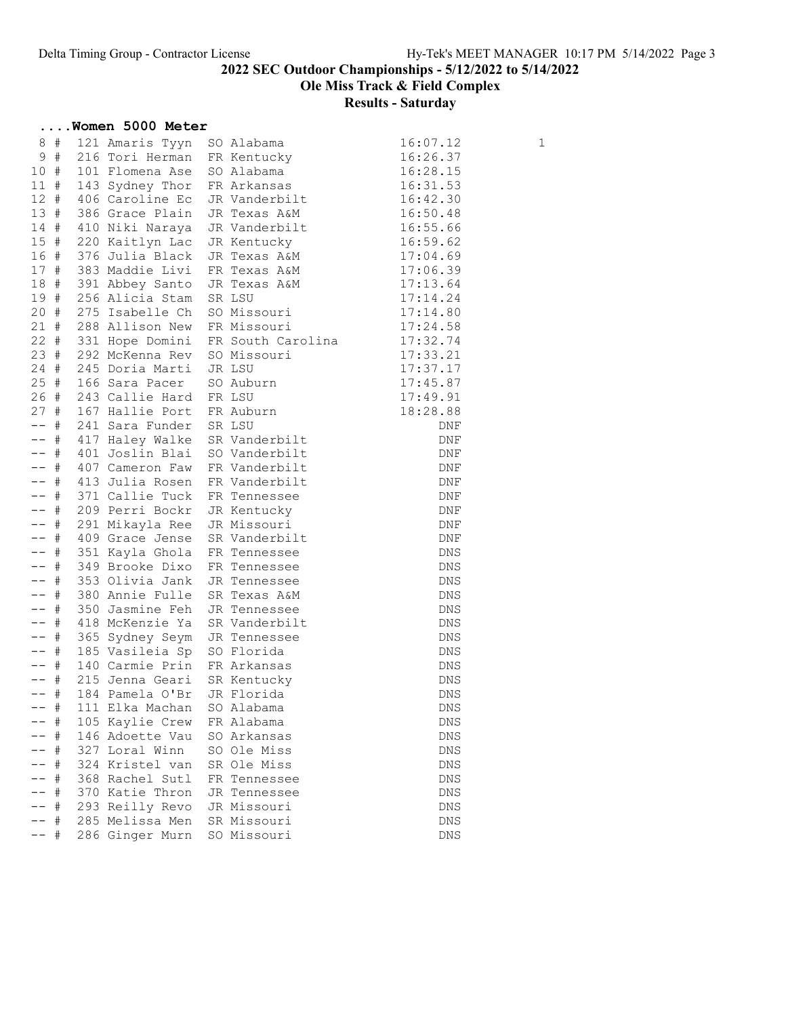Ole Miss Track & Field Complex

|                    |             | Women 5000 Meter                   |  |                              |                   |   |
|--------------------|-------------|------------------------------------|--|------------------------------|-------------------|---|
|                    | 8 #         | 121 Amaris Tyyn                    |  | SO Alabama                   | 16:07.12          | 1 |
|                    | 9#          | 216 Tori Herman                    |  | FR Kentucky                  | 16:26.37          |   |
| 10#                |             | 101 Flomena Ase                    |  | SO Alabama                   | 16:28.15          |   |
| $11$ #             |             | 143 Sydney Thor                    |  | FR Arkansas                  | 16:31.53          |   |
| 12#                |             | 406 Caroline Ec                    |  | JR Vanderbilt                | 16:42.30          |   |
| 13#                |             | 386 Grace Plain                    |  | JR Texas A&M                 | 16:50.48          |   |
| 14#                |             | 410 Niki Naraya                    |  | JR Vanderbilt                | 16:55.66          |   |
| 15#                |             | 220 Kaitlyn Lac                    |  | JR Kentucky                  | 16:59.62          |   |
| 16 #               |             | 376 Julia Black                    |  |                              | 17:04.69          |   |
| 17#                |             | 383 Maddie Livi                    |  | JR Texas A&M<br>FR Texas A&M | 17:06.39          |   |
| 18 #               |             | 391 Abbey Santo                    |  | JR Texas A&M                 | 17:13.64          |   |
| 19 #               |             | 256 Alicia Stam                    |  | SR LSU                       | 17:14.24          |   |
| 20#                |             | 275 Isabelle Ch                    |  | SO Missouri                  | 17:14.80          |   |
| 21#                |             | 288 Allison New                    |  | FR Missouri                  | 17:24.58          |   |
| $22 +$             |             | 331 Hope Domini                    |  | FR South Carolina            | 17:32.74          |   |
| 23#                |             | 292 McKenna Rev                    |  | SO Missouri                  | 17:33.21          |   |
| $24 +$             |             | 245 Doria Marti                    |  | JR LSU                       | 17:37.17          |   |
| $25 +$             |             | 166 Sara Pacer                     |  | SO Auburn                    | 17:45.87          |   |
| 26#                |             | 243 Callie Hard                    |  | FR LSU                       | 17:49.91          |   |
| 27#                |             | 167 Hallie Port                    |  | FR Auburn                    | 18:28.88          |   |
| $--$ #             |             | 241 Sara Funder                    |  | SR LSU                       | DNF               |   |
| $--$ #             |             | 417 Haley Walke                    |  | SR Vanderbilt                | DNF               |   |
| $--$ #             |             | 401 Joslin Blai                    |  | SO Vanderbilt                | DNF               |   |
| $--$ #             |             | 407 Cameron Faw                    |  | FR Vanderbilt                | DNF               |   |
| $--$ #             |             | 413 Julia Rosen                    |  | FR Vanderbilt                | DNF               |   |
| $--$ #             |             | 371 Callie Tuck                    |  | FR Tennessee                 | DNF               |   |
| $--$ #             |             | 209 Perri Bockr                    |  | JR Kentucky                  | DNF               |   |
| $--$ #             |             | 291 Mikayla Ree                    |  | JR Missouri                  | DNF               |   |
| $--$ #             |             | 409 Grace Jense                    |  | SR Vanderbilt                | DNF               |   |
| $--$ #             |             | 351 Kayla Ghola                    |  | FR Tennessee                 | <b>DNS</b>        |   |
| $---$ #            |             | 349 Brooke Dixo                    |  | FR Tennessee                 | DNS               |   |
| $--$ #             |             | 353 Olivia Jank                    |  | JR Tennessee                 | DNS               |   |
| $--- +$            |             | 380 Annie Fulle                    |  | SR Texas A&M                 | DNS               |   |
| $--- +$<br>$---$ # |             | 350 Jasmine Feh<br>418 McKenzie Ya |  | JR Tennessee                 | <b>DNS</b>        |   |
| $---$ #            |             |                                    |  | SR Vanderbilt                | <b>DNS</b>        |   |
| $--$ #             |             | 365 Sydney Seym<br>185 Vasileia Sp |  | JR Tennessee<br>SO Florida   | <b>DNS</b><br>DNS |   |
| $--$ #             |             | 140 Carmie Prin                    |  | FR Arkansas                  | DNS               |   |
| $--$ #             |             | 215 Jenna Geari                    |  | SR Kentucky                  | DNS               |   |
| $---$ #            |             |                                    |  | 184 Pamela O'Br JR Florida   | DNS               |   |
|                    | #           | 111 Elka Machan                    |  | SO Alabama                   | DNS               |   |
|                    | $\#$        | 105 Kaylie Crew                    |  | FR Alabama                   | DNS               |   |
|                    | $\#$        | 146 Adoette Vau                    |  | SO Arkansas                  | DNS               |   |
|                    | #           | 327 Loral Winn                     |  | SO Ole Miss                  | DNS               |   |
|                    | $\#$        | 324 Kristel van                    |  | SR Ole Miss                  | <b>DNS</b>        |   |
|                    | $_{\rm \#}$ | 368 Rachel Sutl                    |  | FR Tennessee                 | DNS               |   |
|                    | #           | 370 Katie Thron                    |  | JR Tennessee                 | DNS               |   |
|                    | $_{\rm \#}$ | 293 Reilly Revo                    |  | JR Missouri                  | <b>DNS</b>        |   |
|                    | $\#$        | 285 Melissa Men                    |  | SR Missouri                  | DNS               |   |
|                    | $_{\rm \#}$ | 286 Ginger Murn                    |  | SO Missouri                  | DNS               |   |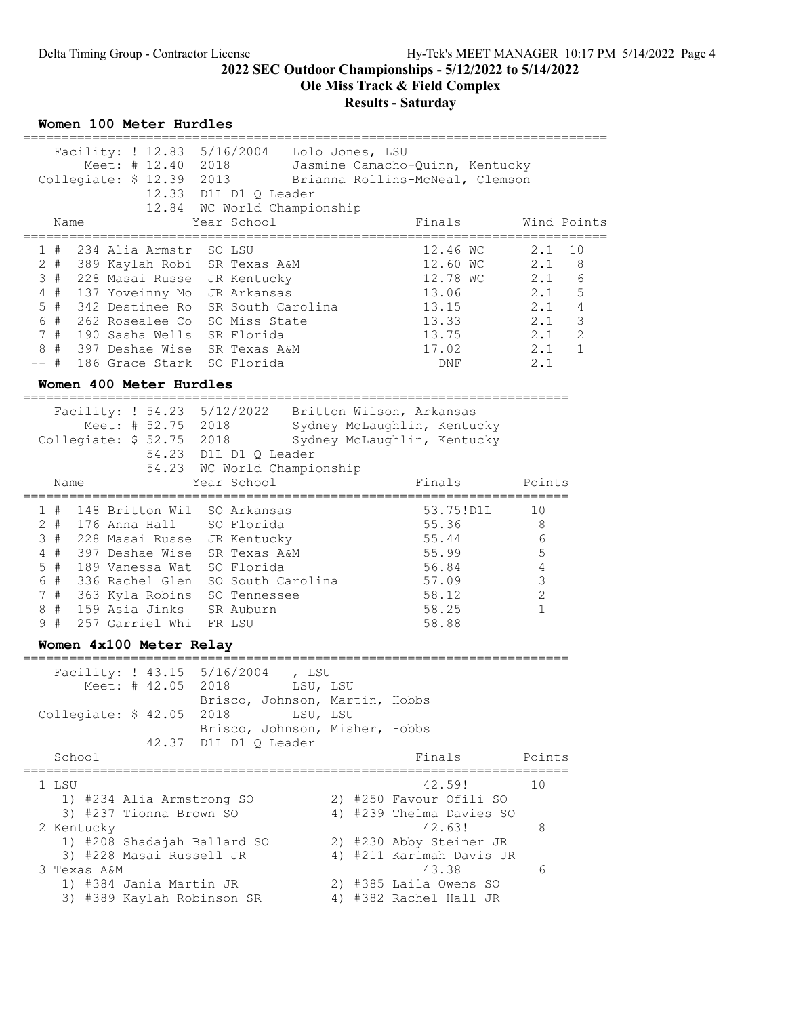Ole Miss Track & Field Complex

#### Results - Saturday

| Women 100 Meter Hurdles |  |  |
|-------------------------|--|--|
|-------------------------|--|--|

| ----------------                                                                                                                                                                                                                                                                                    |                                                                                                                                                                |                                                                                       |                                                                                                             |
|-----------------------------------------------------------------------------------------------------------------------------------------------------------------------------------------------------------------------------------------------------------------------------------------------------|----------------------------------------------------------------------------------------------------------------------------------------------------------------|---------------------------------------------------------------------------------------|-------------------------------------------------------------------------------------------------------------|
| Collegiate: \$ 12.39 2013                                                                                                                                                                                                                                                                           | Facility: ! 12.83 5/16/2004    Lolo Jones, LSU<br>12.33 D1L D1 Q Leader                                                                                        | Meet: # 12.40 2018 Jasmine Camacho-Quinn, Kentucky<br>Brianna Rollins-McNeal, Clemson |                                                                                                             |
| Name                                                                                                                                                                                                                                                                                                | 12.84 WC World Championship<br>Year School                                                                                                                     | Finals                                                                                | Wind Points<br>-------------------                                                                          |
| 1#<br>234 Alia Armstr<br>2 # 389 Kaylah Robi SR Texas A&M<br>3 # 228 Masai Russe<br>4 # 137 Yoveinny Mo<br>5 # 342 Destinee Ro SR South Carolina<br>6 # 262 Rosealee Co SO Miss State<br>7 # 190 Sasha Wells SR Florida<br>8 # 397 Deshae Wise SR Texas A&M<br>$--$ #<br>186 Grace Stark SO Florida | SO LSU<br>JR Kentucky<br>JR Arkansas                                                                                                                           | 12.46 WC<br>12.60 WC<br>12.78 WC<br>13.06<br>13.15<br>13.33<br>13.75<br>17.02<br>DNF  | 2.1<br>10<br>2.1<br>8<br>2.1 6<br>2.1<br>5<br>$2.1$ 4<br>3<br>2.1<br>2<br>2.1<br>2.1<br>$\mathbf{1}$<br>2.1 |
| Women 400 Meter Hurdles                                                                                                                                                                                                                                                                             |                                                                                                                                                                |                                                                                       |                                                                                                             |
| Collegiate: \$52.75 2018 Sydney McLaughlin, Kentucky                                                                                                                                                                                                                                                | Facility: ! 54.23 5/12/2022 Britton Wilson, Arkansas<br>Meet: # 52.75 2018 Sydney McLaughlin, Kentucky<br>54.23 D1L D1 Q Leader<br>54.23 WC World Championship |                                                                                       |                                                                                                             |
| Name                                                                                                                                                                                                                                                                                                | Year School                                                                                                                                                    | Finals                                                                                | Points                                                                                                      |
| 1 # 148 Britton Wil SO Arkansas<br>2 # 176 Anna Hall SO Florida<br>3 # 228 Masai Russe JR Kentucky<br>4#<br>397 Deshae Wise<br>#<br>5<br>189 Vanessa Wat<br>6 #<br>336 Rachel Glen<br>7#<br>363 Kyla Robins<br>159 Asia Jinks SR Auburn<br>#<br>8<br>257 Garriel Whi FR LSU<br>9#                   | SR Texas A&M<br>SO Florida<br>SO South Carolina<br>SO Tennessee                                                                                                | 53.75!D1L<br>55.36<br>55.44<br>55.99<br>56.84<br>57.09<br>58.12<br>58.25<br>58.88     | 10<br>8<br>6<br>5<br>4<br>3<br>$\overline{c}$<br>1                                                          |
| Women 4x100 Meter Relay                                                                                                                                                                                                                                                                             |                                                                                                                                                                |                                                                                       |                                                                                                             |

======================================================================= Facility: ! 43.15 5/16/2004 , LSU Meet: # 42.05 2018 LSU, LSU Brisco, Johnson, Martin, Hobbs Collegiate: \$ 42.05 2018 LSU, LSU Brisco, Johnson, Misher, Hobbs 42.37 D1L D1 Q Leader School **Finals** Points Points Points Points Points Points Points Points Points Points Points Points Points Points Points Points Points Points Points Points Points Points Points Points Points Points Points Points Points Poi ======================================================================= 1 LSU 10 2 2 39! 10 1) #234 Alia Armstrong SO 2) #250 Favour Ofili SO 3) #237 Tionna Brown SO 4) #239 Thelma Davies SO 2 Kentucky 42.63! 8 1) #208 Shadajah Ballard SO 2) #230 Abby Steiner JR 3) #228 Masai Russell JR 4) #211 Karimah Davis JR 3 Texas A&M 43.38 6 1) #384 Jania Martin JR 2) #385 Laila Owens SO

3) #389 Kaylah Robinson SR 4) #382 Rachel Hall JR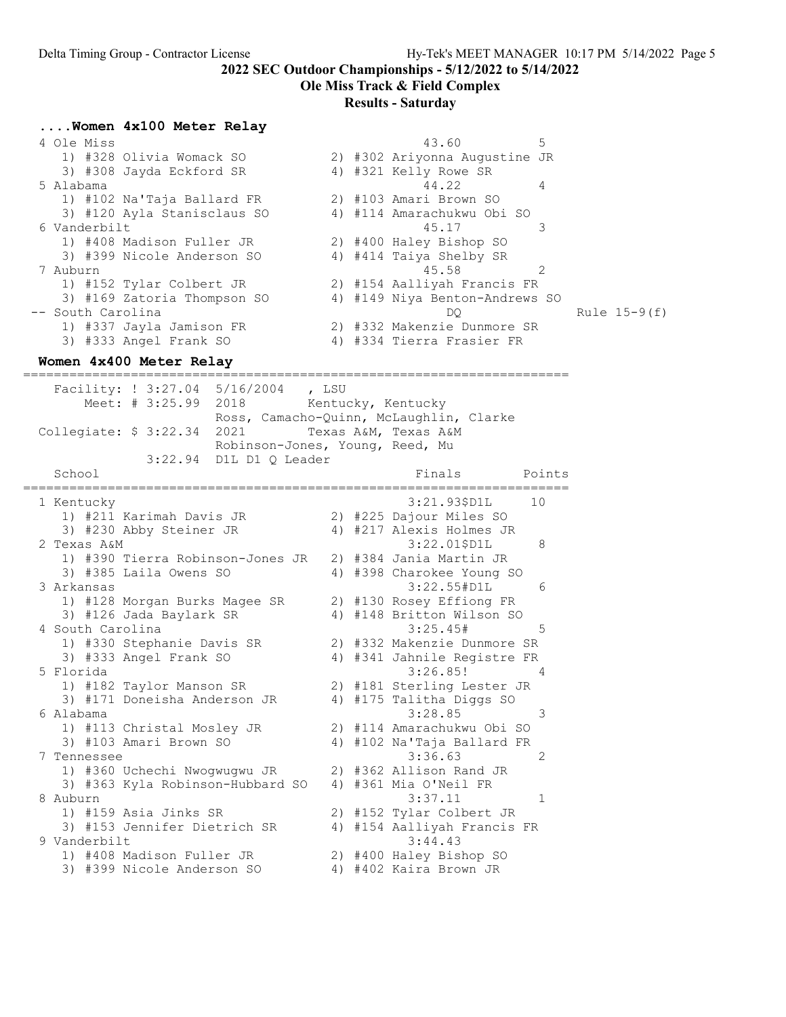### Ole Miss Track & Field Complex

#### Results - Saturday

|           |              | Women 4x100 Meter Relay     |    |                                |   |                |
|-----------|--------------|-----------------------------|----|--------------------------------|---|----------------|
|           | 4 Ole Miss   |                             |    | 43.60                          | 5 |                |
|           |              | 1) #328 Olivia Womack SO    |    | 2) #302 Ariyonna Augustine JR  |   |                |
|           |              | 3) #308 Jayda Eckford SR    |    | 4) #321 Kelly Rowe SR          |   |                |
| 5 Alabama |              |                             |    | 44.22                          | 4 |                |
|           |              | 1) #102 Na'Taja Ballard FR  |    | 2) #103 Amari Brown SO         |   |                |
|           |              | 3) #120 Ayla Stanisclaus SO |    | 4) #114 Amarachukwu Obi SO     |   |                |
|           | 6 Vanderbilt |                             |    | 45.17                          |   |                |
|           |              | 1) #408 Madison Fuller JR   |    | 2) #400 Haley Bishop SO        |   |                |
|           |              | 3) #399 Nicole Anderson SO  |    | 4) #414 Taiya Shelby SR        |   |                |
| 7 Auburn  |              |                             |    | 45.58                          |   |                |
|           |              | 1) #152 Tylar Colbert JR    |    | 2) #154 Aalliyah Francis FR    |   |                |
|           |              | 3) #169 Zatoria Thompson SO |    | 4) #149 Niya Benton-Andrews SO |   |                |
|           |              | -- South Carolina           |    | DO                             |   | Rule $15-9(f)$ |
|           |              | 1) #337 Jayla Jamison FR    |    | 2) #332 Makenzie Dunmore SR    |   |                |
|           |              | 3) #333 Angel Frank SO      | 4) | #334 Tierra Frasier FR         |   |                |

#### Women 4x400 Meter Relay

======================================================================= Facility: ! 3:27.04 5/16/2004 , LSU Meet: # 3:25.99 2018 Kentucky, Kentucky Ross, Camacho-Quinn, McLaughlin, Clarke Collegiate: \$ 3:22.34 2021 Texas A&M, Texas A&M Robinson-Jones, Young, Reed, Mu 3:22.94 D1L D1 Q Leader School **Finals** Points Points Points Points Points Points Points Points Points Points Points Points Points Points Points Points Points Points Points Points Points Points Points Points Points Points Points Points Points Poi ======================================================================= 1 Kentucky 3:21.93\$D1L 10 1) #211 Karimah Davis JR 2) #225 Dajour Miles SO 3) #230 Abby Steiner JR 4) #217 Alexis Holmes JR 2 Texas A&M 3:22.01\$D1L 8 1) #390 Tierra Robinson-Jones JR 2) #384 Jania Martin JR 3) #385 Laila Owens SO 4) #398 Charokee Young SO 3 Arkansas 3:22.55#D1L 6 1) #128 Morgan Burks Magee SR 2) #130 Rosey Effiong FR 3) #126 Jada Baylark SR 4) #148 Britton Wilson SO 4 South Carolina 3:25.45# 5 1) #330 Stephanie Davis SR 2) #332 Makenzie Dunmore SR 3) #333 Angel Frank SO 4) #341 Jahnile Registre FR 5 Florida 3:26.85! 4 1) #182 Taylor Manson SR 2) #181 Sterling Lester JR 3) #171 Doneisha Anderson JR 4) #175 Talitha Diggs SO 6 Alabama 3:28.85 3 1) #113 Christal Mosley JR 2) #114 Amarachukwu Obi SO 3) #103 Amari Brown SO 4) #102 Na'Taja Ballard FR 7 Tennessee 3:36.63 2 1) #360 Uchechi Nwogwugwu JR 2) #362 Allison Rand JR 3) #363 Kyla Robinson-Hubbard SO 4) #361 Mia O'Neil FR 8 Auburn 3:37.11 1 1) #159 Asia Jinks SR 2) #152 Tylar Colbert JR 3) #153 Jennifer Dietrich SR 4) #154 Aalliyah Francis FR 9 Vanderbilt 3:44.43 1) #408 Madison Fuller JR 2) #400 Haley Bishop SO 3) #399 Nicole Anderson SO 4) #402 Kaira Brown JR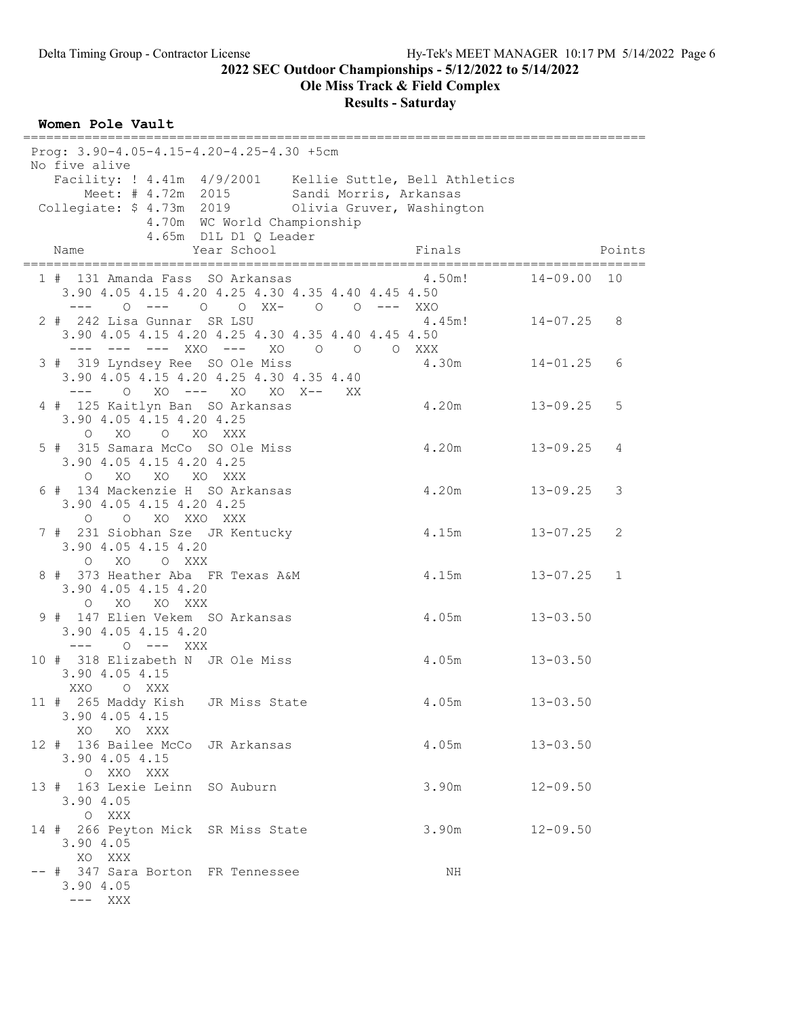Ole Miss Track & Field Complex

#### Results - Saturday

#### Women Pole Vault

================================================================================= Prog: 3.90-4.05-4.15-4.20-4.25-4.30 +5cm No five alive Facility: ! 4.41m 4/9/2001 Kellie Suttle, Bell Athletics Meet: # 4.72m 2015 Sandi Morris, Arkansas Collegiate: \$ 4.73m 2019 Olivia Gruver, Washington 4.70m WC World Championship 4.65m D1L D1 Q Leader Name The Year School Finals Points ================================================================================= 1 # 131 Amanda Fass SO Arkansas 4.50m! 14-09.00 10 3.90 4.05 4.15 4.20 4.25 4.30 4.35 4.40 4.45 4.50 --- 0 --- 0 0 XX- 0 0 --- XXO<br>242 Lisa Gunnar SR LSU 4.45m! 14-07.25 8 2 # 242 Lisa Gunnar SR LSU 3.90 4.05 4.15 4.20 4.25 4.30 4.35 4.40 4.45 4.50 --- --- --- XXO --- XO O O O XXX<br>3 # 319 Lyndsey Ree SO Ole Miss 4.30m 14-01.25 3 # 319 Lyndsey Ree SO Ole Miss 4.30m 14-01.25 6 3.90 4.05 4.15 4.20 4.25 4.30 4.35 4.40 --- O XO --- XO XO X-- XX 4 # 125 Kaitlyn Ban SO Arkansas 4.20m 13-09.25 5 3.90 4.05 4.15 4.20 4.25 O XO O XO XXX 5 # 315 Samara McCo SO Ole Miss 4.20m 13-09.25 4 3.90 4.05 4.15 4.20 4.25 O XO XO XO XXX<br>6 # 134 Mackenzie H SO Arkansas 4.20m 13-09.25 3 3.90 4.05 4.15 4.20 4.25 O O XO XXO XXX<br>7 # 231 Siobhan Sze JR Kentucky 4.15m 13-07.25 2 3.90 4.05 4.15 4.20 O XO O XXX 8 # 373 Heather Aba FR Texas A&M 4.15m 13-07.25 1 3.90 4.05 4.15 4.20 O XO XO XXX<br>9 # 147 Elien Vekem SO Arkansas 4.05m 13-03.50 3.90 4.05 4.15 4.20 --- O --- XXX 10 # 318 Elizabeth N JR Ole Miss 4.05m 13-03.50 3.90 4.05 4.15 XXO O XXX 11 # 265 Maddy Kish JR Miss State 4.05m 13-03.50 3.90 4.05 4.15 XO XO XXX 12 # 136 Bailee McCo JR Arkansas 4.05m 13-03.50 3.90 4.05 4.15 O XXO XXX 13 # 163 Lexie Leinn SO Auburn 3.90m 12-09.50 3.90 4.05 O XXX 14 # 266 Peyton Mick SR Miss State 3.90m 12-09.50 3.90 4.05 XO XXX -- # 347 Sara Borton FR Tennessee NH 3.90 4.05 --- XXX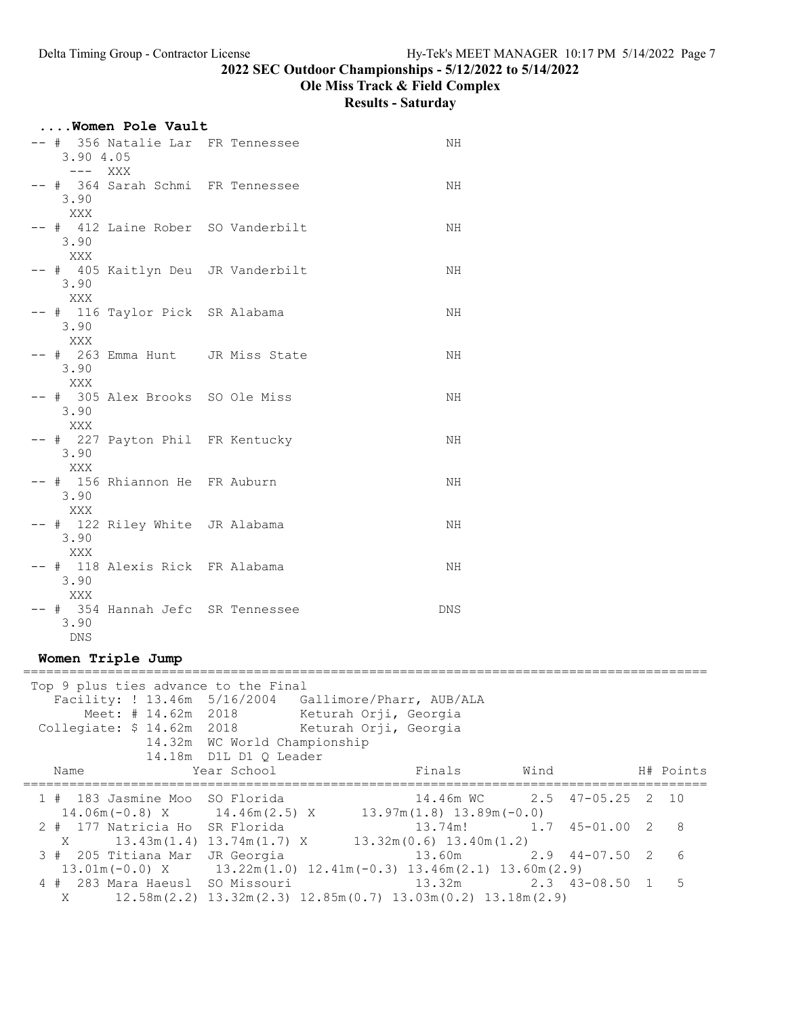## Ole Miss Track & Field Complex

Results - Saturday

| Women Pole Vault                                        |     |
|---------------------------------------------------------|-----|
| -- # 356 Natalie Lar FR Tennessee<br>3.90 4.05          | NH  |
| --- XXX                                                 |     |
| -- # 364 Sarah Schmi FR Tennessee<br>3.90<br>XXX        | NH  |
| -- # 412 Laine Rober SO Vanderbilt<br>3.90              | ΝH  |
| XXX<br>-- # 405 Kaitlyn Deu JR Vanderbilt<br>3.90       | ΝH  |
| XXX<br>-- # 116 Taylor Pick SR Alabama<br>3.90          | ΝH  |
| XXX<br>-- # 263 Emma Hunt JR Miss State<br>3.90         | ΝH  |
| XXX<br>-- # 305 Alex Brooks SO Ole Miss<br>3.90         | ΝH  |
| XXX<br>-- # 227 Payton Phil FR Kentucky<br>3.90         | ΝH  |
| XXX<br>-- # 156 Rhiannon He FR Auburn<br>3.90           | ΝH  |
| XXX<br>-- # 122 Riley White JR Alabama<br>3.90          | ΝH  |
| XXX<br>-- # 118 Alexis Rick FR Alabama<br>3.90          | ΝH  |
| XXX<br>-- # 354 Hannah Jefc SR Tennessee<br>3.90<br>DNS | DNS |

### Women Triple Jump

|      | Top 9 plus ties advance to the Final                                                |                              |                                                                                           |           |  |
|------|-------------------------------------------------------------------------------------|------------------------------|-------------------------------------------------------------------------------------------|-----------|--|
|      | Facility: ! 13.46m 5/16/2004 Gallimore/Pharr, AUB/ALA                               |                              |                                                                                           |           |  |
|      | Meet: # 14.62m 2018 Keturah Orji, Georgia                                           |                              |                                                                                           |           |  |
|      | Collegiate: \$ 14.62m 2018 Keturah Orji, Georgia                                    |                              |                                                                                           |           |  |
|      |                                                                                     | 14.32m WC World Championship |                                                                                           |           |  |
|      |                                                                                     | 14.18m D1L D1 O Leader       |                                                                                           |           |  |
| Name |                                                                                     | Year School                  | Finals Wind                                                                               | H# Points |  |
|      | 1 # 183 Jasmine Moo SO Florida                                                      |                              | 14.46m WC 2.5 47-05.25 2 10                                                               |           |  |
|      | $14.06m(-0.8)$ X $14.46m(2.5)$ X $13.97m(1.8)$ $13.89m(-0.0)$                       |                              |                                                                                           |           |  |
|      | 2 # 177 Natricia Ho SR Florida                                                      |                              | 13.74m! 1.7 45-01.00 2 8                                                                  |           |  |
| X    | $13.43m(1.4)$ $13.74m(1.7)$ X $13.32m(0.6)$ $13.40m(1.2)$                           |                              |                                                                                           |           |  |
|      | 3 # 205 Titiana Mar JR Georgia                                                      |                              | $13.60m$ $2.9$ $44-07.50$ $2$ 6                                                           |           |  |
|      | $13.01$ m (-0.0) X $13.22$ m (1.0) $12.41$ m (-0.3) $13.46$ m (2.1) $13.60$ m (2.9) |                              |                                                                                           |           |  |
|      | 4 # 283 Mara Haeusl SO Missouri                                                     |                              | $13.32m$ $2.3$ $43-08.50$ 1 5                                                             |           |  |
| X    |                                                                                     |                              | $12.58$ m $(2.2)$ $13.32$ m $(2.3)$ $12.85$ m $(0.7)$ $13.03$ m $(0.2)$ $13.18$ m $(2.9)$ |           |  |
|      |                                                                                     |                              |                                                                                           |           |  |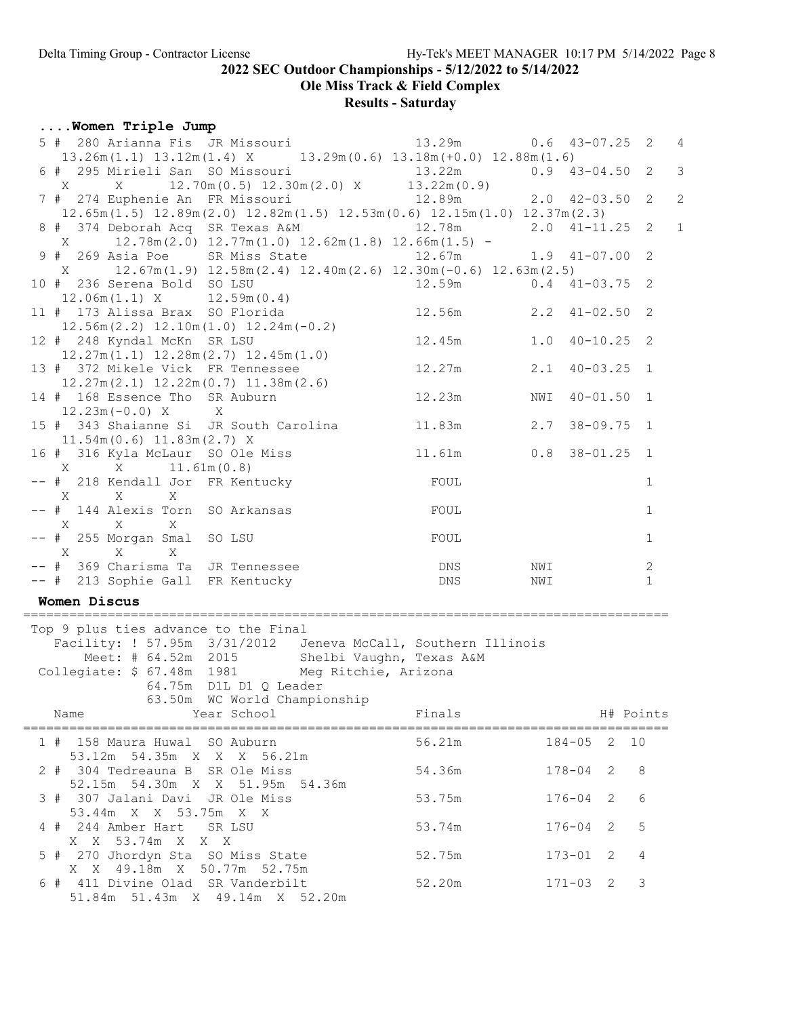Ole Miss Track & Field Complex

## Results - Saturday

### ....Women Triple Jump

| 5 # 280 Arianna Fis JR Missouri<br>$13.26m(1.1)$ $13.12m(1.4)$ X $13.29m(0.6)$ $13.18m(+0.0)$ $12.88m(1.6)$              |                                             |                                                           | 13.29m 0.6 43-07.25 2       |     |                  |              | $\overline{4}$ |
|--------------------------------------------------------------------------------------------------------------------------|---------------------------------------------|-----------------------------------------------------------|-----------------------------|-----|------------------|--------------|----------------|
| 6 # 295 Mirieli San SO Missouri 13.22m<br>X X 12.70m (0.5) 12.30m (2.0) X 13.22m (0.9)                                   |                                             |                                                           |                             |     | $0.9$ 43-04.50 2 |              | $\mathcal{E}$  |
| 7 # 274 Euphenie An FR Missouri                                                                                          |                                             |                                                           | 12.89m 2.0 42-03.50 2       |     |                  |              | 2              |
| $12.65m(1.5)$ $12.89m(2.0)$ $12.82m(1.5)$ $12.53m(0.6)$ $12.15m(1.0)$ $12.37m(2.3)$                                      |                                             |                                                           |                             |     |                  |              | $\mathbf{1}$   |
| $X \sim$                                                                                                                 |                                             | $12.78m(2.0)$ $12.77m(1.0)$ $12.62m(1.8)$ $12.66m(1.5)$ - |                             |     |                  |              |                |
| 9 # 269 Asia Poe SR Miss State 12.67m 1.9 41-07.00 2<br>$X$ 12.67m(1.9) 12.58m(2.4) 12.40m(2.6) 12.30m(-0.6) 12.63m(2.5) |                                             |                                                           |                             |     |                  |              |                |
| 10 # 236 Serena Bold SO LSU                                                                                              |                                             |                                                           | 12.59m 0.4 41-03.75 2       |     |                  |              |                |
| $12.06m(1.1)$ X $12.59m(0.4)$                                                                                            |                                             |                                                           | 12.56m 2.2 41-02.50 2       |     |                  |              |                |
| 11 # 173 Alissa Brax SO Florida<br>$12.56m(2.2)$ $12.10m(1.0)$ $12.24m(-0.2)$                                            |                                             |                                                           |                             |     |                  |              |                |
| 12 # 248 Kyndal McKn SR LSU                                                                                              |                                             |                                                           | 12.45m   1.0   40-10.25   2 |     |                  |              |                |
| $12.27m(1.1)$ $12.28m(2.7)$ $12.45m(1.0)$<br>13 # 372 Mikele Vick FR Tennessee                                           |                                             |                                                           | 12.27m 2.1 40-03.25 1       |     |                  |              |                |
| $12.27m(2.1)$ $12.22m(0.7)$ $11.38m(2.6)$                                                                                |                                             |                                                           |                             |     |                  |              |                |
| 14 # 168 Essence Tho SR Auburn<br>$12.23m(-0.0) X$ X                                                                     |                                             |                                                           | 12.23m                      | NWI | $40 - 01.50$ 1   |              |                |
| 15 # 343 Shaianne Si JR South Carolina                                                                                   |                                             |                                                           | 11.83m 2.7 38-09.75 1       |     |                  |              |                |
| $11.54m(0.6)$ $11.83m(2.7)$ X<br>16 # 316 Kyla McLaur SO Ole Miss                                                        |                                             |                                                           | 11.61m 0.8 38-01.25 1       |     |                  |              |                |
|                                                                                                                          |                                             |                                                           |                             |     |                  |              |                |
| -- # 218 Kendall Jor FR Kentucky<br>X X<br>$\mathbf{X}$                                                                  |                                             |                                                           | FOUL                        |     |                  | 1            |                |
| -- # 144 Alexis Torn SO Arkansas<br>X X<br>$\mathbf{X}$                                                                  |                                             |                                                           | FOUL                        |     |                  | 1            |                |
| -- # 255 Morgan Smal SO LSU                                                                                              |                                             |                                                           | FOUL                        |     |                  | 1            |                |
| $X$ $X$ $X$<br>-- # 369 Charisma Ta JR Tennessee                                                                         |                                             |                                                           | <b>DNS</b>                  | NWI |                  | 2            |                |
| -- # 213 Sophie Gall FR Kentucky                                                                                         |                                             |                                                           | <b>DNS</b>                  | NWI |                  | $\mathbf{1}$ |                |
| Women Discus                                                                                                             |                                             |                                                           |                             |     |                  |              |                |
| Top 9 plus ties advance to the Final                                                                                     |                                             |                                                           |                             |     |                  |              |                |
| Facility: ! 57.95m 3/31/2012  Jeneva McCall, Southern Illinois                                                           |                                             |                                                           |                             |     |                  |              |                |
| Meet: # 64.52m 2015 Shelbi Vaughn, Texas A&M<br>Collegiate: \$ 67.48m 1981 Meg Ritchie, Arizona                          |                                             |                                                           |                             |     |                  |              |                |
|                                                                                                                          | 64.75m D1L D1 Q Leader                      |                                                           |                             |     |                  |              |                |
| Name                                                                                                                     | 63.50m WC World Championship<br>Year School |                                                           | Finals                      |     |                  | H# Points    |                |
|                                                                                                                          |                                             |                                                           |                             |     |                  | ========     |                |
| 1 # 158 Maura Huwal SO Auburn<br>53.12m 54.35m X X X 56.21m                                                              |                                             |                                                           | 56.21m                      |     | $184 - 05$ 2     | 10           |                |
| 2 # 304 Tedreauna B SR Ole Miss<br>52.15m 54.30m X X 51.95m 54.36m                                                       |                                             |                                                           | 54.36m                      |     | $178 - 04$<br>2  | 8            |                |
| 3 # 307 Jalani Davi JR Ole Miss                                                                                          |                                             |                                                           | 53.75m                      |     | $176 - 04$<br>2  | 6            |                |
| 53.44m X X 53.75m X X<br>4 # 244 Amber Hart SR LSU                                                                       |                                             |                                                           | 53.74m                      |     | $176 - 04$ 2     | 5            |                |
| X X 53.74m X X X                                                                                                         |                                             |                                                           |                             |     |                  |              |                |

 5 # 270 Jhordyn Sta SO Miss State 52.75m 173-01 2 4 X X 49.18m X 50.77m 52.75m 6 # 411 Divine Olad SR Vanderbilt 52.20m 171-03 2 3 51.84m 51.43m X 49.14m X 52.20m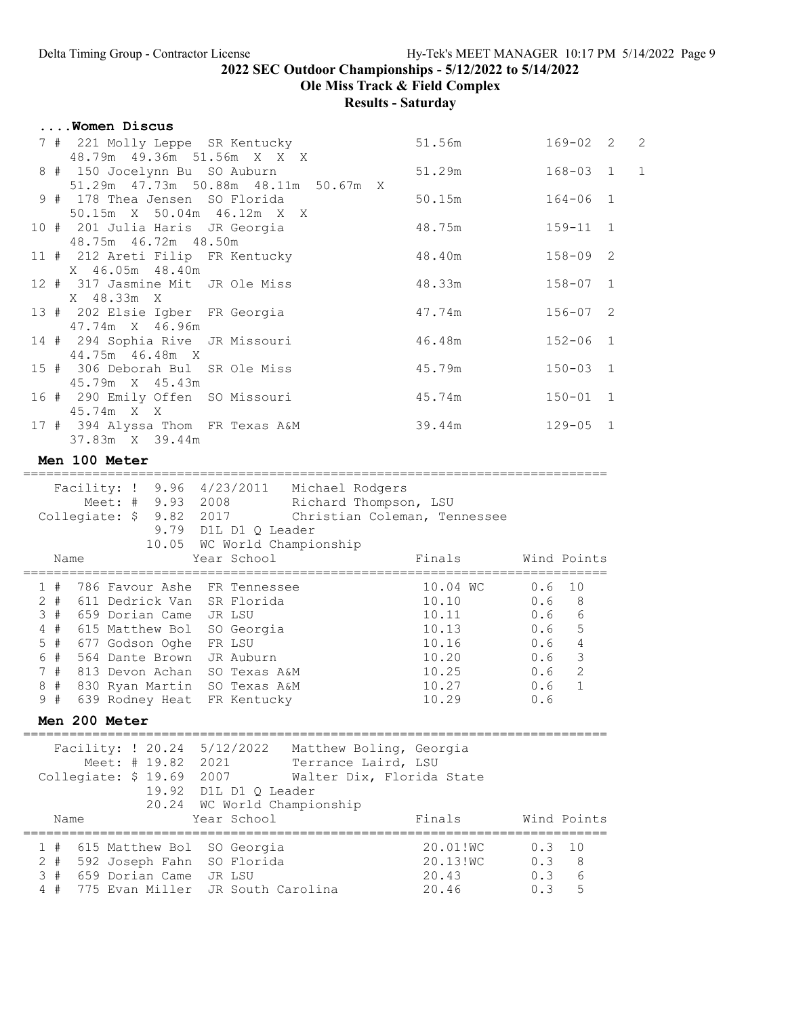Ole Miss Track & Field Complex

#### Results - Saturday

| Women Discus                                                                            |                                      |        |                |  |
|-----------------------------------------------------------------------------------------|--------------------------------------|--------|----------------|--|
| 7 # 221 Molly Leppe SR Kentucky                                                         |                                      | 51.56m | $169 - 02$ 2 2 |  |
| 48.79m  49.36m  51.56m  X  X  X<br>8 # 150 Jocelynn Bu SO Auburn                        |                                      | 51.29m | $168 - 03$ 1 1 |  |
| 9 # 178 Thea Jensen SO Florida                                                          | 51.29m 47.73m 50.88m 48.11m 50.67m X | 50.15m | $164 - 06$ 1   |  |
| 50.15m X 50.04m 46.12m X X<br>10 # 201 Julia Haris JR Georgia<br>48.75m  46.72m  48.50m |                                      | 48.75m | 159-11 1       |  |
| 11 # 212 Areti Filip FR Kentucky<br>X 46.05m 48.40m                                     |                                      | 48.40m | 158-09 2       |  |
| 12 # 317 Jasmine Mit JR Ole Miss<br>X 48.33m X                                          |                                      | 48.33m | $158 - 07$ 1   |  |
| 13 # 202 Elsie Igber FR Georgia<br>47.74m X 46.96m                                      |                                      | 47.74m | $156 - 07$ 2   |  |
| 14 # 294 Sophia Rive JR Missouri<br>44.75m 46.48m X                                     |                                      | 46.48m | $152 - 06$ 1   |  |
| 15 # 306 Deborah Bul SR Ole Miss<br>45.79m X 45.43m                                     |                                      | 45.79m | $150 - 03$ 1   |  |
| 16 # 290 Emily Offen SO Missouri<br>45.74m X X                                          |                                      | 45.74m | $150 - 01$ 1   |  |
| 17 # 394 Alyssa Thom FR Texas A&M<br>37.83m X 39.44m                                    |                                      | 39.44m | $129 - 05$ 1   |  |
| Men 100 Meter                                                                           |                                      |        |                |  |

============================================================================ Facility: ! 9.96 4/23/2011 Michael Rodgers Meet: # 9.93 2008 Richard Thompson, LSU Collegiate: \$ 9.82 2017 Christian Coleman, Tennessee 9.79 D1L D1 Q Leader 10.05 WC World Championship Name Year School Finals Wind Points ============================================================================ 1 # 786 Favour Ashe FR Tennessee 10.04 WC 0.6 10<br>
2 # 611 Dedrick Van SR Florida 10.10 0.6 8 2 # 611 Dedrick Van SR Florida 10.10 0.6 8 3 # 659 Dorian Came JR LSU 10.11 0.6 6 4 # 615 Matthew Bol SO Georgia 10.13 0.6 5 5 # 677 Godson Oghe FR LSU 10.16 0.6 4 6 # 564 Dante Brown JR Auburn 10.20 0.6 3 7 # 813 Devon Achan SO Texas A&M 10.25 0.6 2 8 # 830 Ryan Martin SO Texas A&M 10.27 0.6 1 9 # 639 Rodney Heat FR Kentucky 10.29 0.6 Men 200 Meter ============================================================================ Facility: ! 20.24 5/12/2022 Matthew Boling, Georgia Meet: # 19.82 2021 Terrance Laird, LSU Collegiate: \$ 19.69 2007 Walter Dix, Florida State 19.92 D1L D1 Q Leader 20.24 WC World Championship Name Extern Women Year School Finals Wind Points ============================================================================ 1 # 615 Matthew Bol SO Georgia<br>2 # 592 Joseph Fahn SO Florida<br>3 # 659 Dorian Came JR LSU 2 # 592 Joseph Fahn SO Florida 20.13!WC 0.3 8 3 # 659 Dorian Came JR LSU 20.43 0.3 6 4 # 775 Evan Miller JR South Carolina 20.46 0.3 5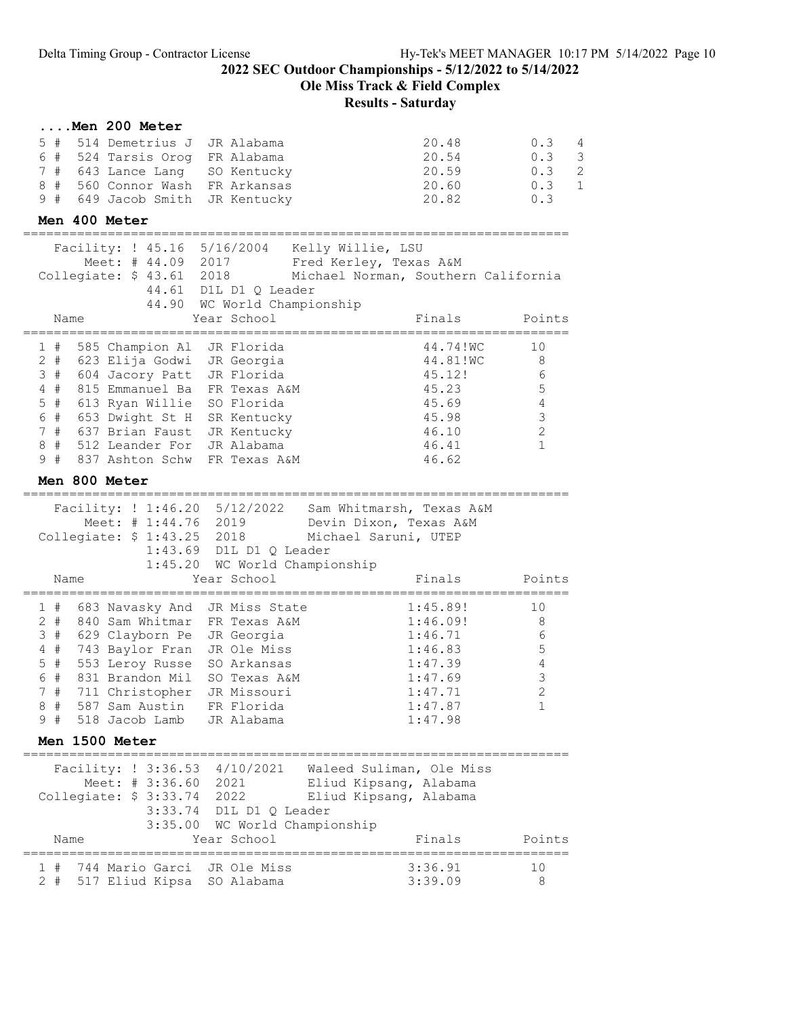Ole Miss Track & Field Complex

# Results - Saturday

#### ....Men 200 Meter

| 5 # 514 Demetrius J JR Alabama  | 20.48 | 0.34          |
|---------------------------------|-------|---------------|
| 6 # 524 Tarsis Orog FR Alabama  | 20.54 | $0.3 \quad 3$ |
| 7 # 643 Lance Lang SO Kentucky  | 20.59 | 0.32          |
| 8 # 560 Connor Wash FR Arkansas | 20.60 | $0.3 \quad 1$ |
| 9 # 649 Jacob Smith JR Kentucky | 20.82 | 0.3           |

### Men 400 Meter

| Facility: ! 45.16 5/16/2004 Kelly Willie, LSU<br>Meet: # 44.09 2017   |                                                      | Fred Kerley, Texas A&M                                 |              |
|-----------------------------------------------------------------------|------------------------------------------------------|--------------------------------------------------------|--------------|
| Collegiate: \$ 43.61 2018                                             |                                                      | Michael Norman, Southern California                    |              |
|                                                                       | 44.61 D1L D1 Q Leader<br>44.90 WC World Championship |                                                        |              |
| Name                                                                  | Year School                                          | Finals                                                 | Points       |
| 585 Champion Al<br>1#                                                 | JR Florida                                           | 44.74!WC                                               | 10           |
| 2#<br>623 Elija Godwi                                                 | JR Georgia                                           | 44.81!WC                                               | 8            |
| 3#<br>604 Jacory Patt JR Florida                                      |                                                      | 45.12!                                                 | 6            |
| 4#<br>815 Emmanuel Ba                                                 | FR Texas A&M                                         | 45.23                                                  | $\mathsf S$  |
| $5$ #<br>613 Ryan Willie                                              | SO Florida                                           | 45.69                                                  | 4            |
| 6 #<br>653 Dwight St H<br>7#<br>637 Brian Faust                       | SR Kentucky<br>JR Kentucky                           | 45.98<br>46.10                                         | 3<br>2       |
| 8#<br>512 Leander For                                                 | JR Alabama                                           | 46.41                                                  | $\mathbf{1}$ |
| 9#<br>837 Ashton Schw                                                 | FR Texas A&M                                         | 46.62                                                  |              |
| Men 800 Meter                                                         |                                                      |                                                        |              |
|                                                                       |                                                      |                                                        |              |
| Facility: ! 1:46.20 5/12/2022                                         |                                                      | Sam Whitmarsh, Texas A&M                               |              |
| Meet: # 1:44.76 2019<br>Collegiate: \$ 1:43.25 2018                   |                                                      | Devin Dixon, Texas A&M                                 |              |
|                                                                       | 1:43.69 D1L D1 Q Leader                              | Michael Saruni, UTEP                                   |              |
|                                                                       | 1:45.20 WC World Championship                        |                                                        |              |
| Name                                                                  | Year School                                          | Finals                                                 | Points       |
|                                                                       |                                                      |                                                        |              |
| 1#<br>683 Navasky And                                                 | JR Miss State                                        | 1:45.89!                                               | 10           |
| $2 +$<br>840 Sam Whitmar                                              | FR Texas A&M                                         | 1:46.09!                                               | 8<br>6       |
| 3#<br>629 Clayborn Pe JR Georgia<br>4#<br>743 Baylor Fran JR Ole Miss |                                                      | 1:46.71<br>1:46.83                                     | $\mathsf S$  |
| $5$ #<br>553 Leroy Russe SO Arkansas                                  |                                                      | 1:47.39                                                | 4            |
| 6#<br>831 Brandon Mil SO Texas A&M                                    |                                                      | 1:47.69                                                | 3            |
| 7#<br>711 Christopher JR Missouri                                     |                                                      | 1:47.71                                                | 2            |
| 8#<br>587 Sam Austin FR Florida                                       |                                                      | 1:47.87                                                | $\mathbf{1}$ |
| 9#<br>518 Jacob Lamb                                                  | JR Alabama                                           | 1:47.98                                                |              |
| Men 1500 Meter                                                        |                                                      |                                                        |              |
|                                                                       |                                                      | Facility: ! 3:36.53 4/10/2021 Waleed Suliman, Ole Miss |              |
| Meet: # 3:36.60 2021                                                  |                                                      | Eliud Kipsang, Alabama                                 |              |
| Collegiate: \$ 3:33.74 2022                                           |                                                      | Eliud Kipsang, Alabama                                 |              |
|                                                                       | 3:33.74 D1L D1 Q Leader                              |                                                        |              |
|                                                                       | 3:35.00 WC World Championship                        |                                                        |              |
| Name                                                                  | Year School                                          | Finals                                                 | Points       |
| 1#<br>744 Mario Garci                                                 | JR Ole Miss                                          | 3:36.91                                                | 10           |

2 # 517 Eliud Kipsa SO Alabama 3:39.09 8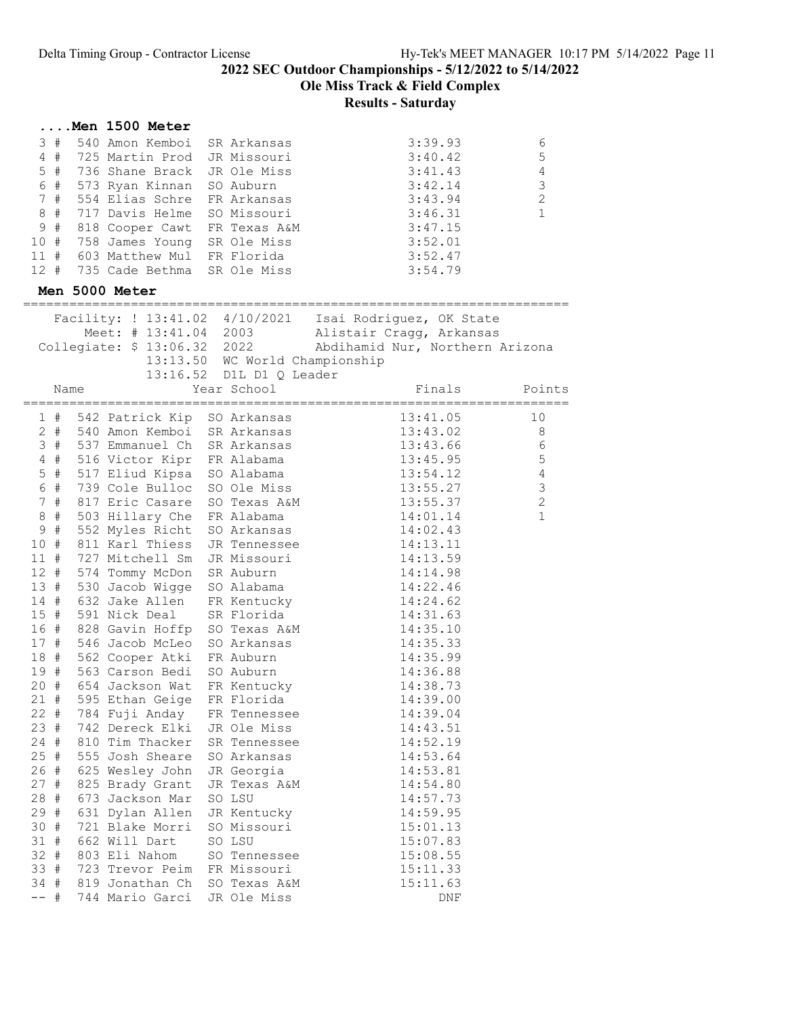#### Ole Miss Track & Field Complex

|             |      | $\ldots$ . Men 1500 Meter                                |                                |                                                          |                |
|-------------|------|----------------------------------------------------------|--------------------------------|----------------------------------------------------------|----------------|
| 3#          |      | 540 Amon Kemboi                                          | SR Arkansas                    | 3:39.93                                                  | 6              |
| $4$ #       |      | 725 Martin Prod JR Missouri                              |                                | 3:40.42                                                  | 5              |
| $5$ #       |      | 736 Shane Brack JR Ole Miss                              |                                | 3:41.43                                                  | $\sqrt{4}$     |
| 6 #         |      | 573 Ryan Kinnan SO Auburn                                |                                | 3:42.14                                                  | $\mathsf 3$    |
| 7#          |      | 554 Elias Schre FR Arkansas                              |                                | 3:43.94                                                  | $\mathbf{2}$   |
| 8<br>#      |      | 717 Davis Helme SO Missouri                              |                                | 3:46.31                                                  | 1              |
| 9 #         |      | 818 Cooper Cawt FR Texas A&M                             |                                | 3:47.15                                                  |                |
|             |      | 10 # 758 James Young SR Ole Miss                         |                                | 3:52.01                                                  |                |
|             |      | 11 # 603 Matthew Mul FR Florida                          |                                | 3:52.47                                                  |                |
| $12 +$      |      | 735 Cade Bethma SR Ole Miss                              |                                | 3:54.79                                                  |                |
|             |      | Men 5000 Meter                                           |                                |                                                          |                |
|             |      |                                                          |                                | Facility: ! 13:41.02 4/10/2021  Isai Rodriguez, OK State |                |
|             |      | Meet: # 13:41.04 2003                                    |                                | Alistair Cragg, Arkansas                                 |                |
|             |      | Collegiate: \$ 13:06.32 2022                             |                                | Abdihamid Nur, Northern Arizona                          |                |
|             |      |                                                          | 13:13.50 WC World Championship |                                                          |                |
|             |      |                                                          | 13:16.52 D1L D1 Q Leader       |                                                          |                |
|             | Name |                                                          | Year School                    | Finals                                                   | Points         |
| $1$ #       |      | 542 Patrick Kip SO Arkansas                              |                                | 13:41.05                                                 | 10             |
| $2 \#$      |      | 540 Amon Kemboi SR Arkansas                              |                                | 13:43.02                                                 | 8              |
|             |      | 3 # 537 Emmanuel Ch SR Arkansas                          |                                | 13:43.66                                                 | 6              |
|             |      | 4 # 516 Victor Kipr FR Alabama                           |                                | 13:45.95                                                 | 5              |
| $5$ #       |      | 517 Eliud Kipsa SO Alabama                               |                                | 13:54.12                                                 | $\overline{4}$ |
| 6 #         |      | 739 Cole Bulloc SO Ole Miss                              |                                | 13:55.27                                                 | $\mathfrak{Z}$ |
| 7#          |      | 817 Eric Casare SO Texas A&M                             |                                | 13:55.37                                                 | $\overline{c}$ |
| 8#          |      | 503 Hillary Che FR Alabama                               |                                | 14:01.14                                                 | $1\,$          |
| 9 #         |      | 552 Myles Richt SO Arkansas                              |                                | 14:02.43                                                 |                |
| 10#         |      | 811 Karl Thiess                                          | JR Tennessee                   | 14:13.11                                                 |                |
| 11#         |      | 727 Mitchell Sm JR Missouri                              |                                | 14:13.59                                                 |                |
| $12 +$      |      | 574 Tommy McDon SR Auburn                                |                                | 14:14.98                                                 |                |
| 13 #<br>14# |      | 530 Jacob Wigge SO Alabama<br>632 Jake Allen FR Kentucky |                                | 14:22.46                                                 |                |
| 15#         |      | 591 Nick Deal SR Florida                                 |                                | 14:24.62<br>14:31.63                                     |                |
|             |      | 16 # 828 Gavin Hoffp SO Texas A&M                        |                                | 14:35.10                                                 |                |
| 17#         |      | 546 Jacob McLeo SO Arkansas                              |                                | 14:35.33                                                 |                |
|             |      | 18 # 562 Cooper Atki FR Auburn                           |                                | 14:35.99                                                 |                |
| 19 #        |      | 563 Carson Bedi SO Auburn                                |                                | 14:36.88                                                 |                |
| 20#         |      | 654 Jackson Wat                                          | FR Kentucky                    | 14:38.73                                                 |                |
| 21 #        |      | 595 Ethan Geige                                          | FR Florida                     | 14:39.00                                                 |                |
| $22 +$      |      | 784 Fuji Anday                                           | FR Tennessee                   | 14:39.04                                                 |                |
| 23#         |      | 742 Dereck Elki                                          | JR Ole Miss                    | 14:43.51                                                 |                |
| $24$ #      |      | 810 Tim Thacker                                          | SR Tennessee                   | 14:52.19                                                 |                |
| $25 +$      |      | 555 Josh Sheare                                          | SO Arkansas                    | 14:53.64                                                 |                |
| 26 #        |      | 625 Wesley John                                          | JR Georgia                     | 14:53.81                                                 |                |
| 27#         |      | 825 Brady Grant                                          | JR Texas A&M                   | 14:54.80                                                 |                |
| 28 #        |      | 673 Jackson Mar                                          | SO LSU                         | 14:57.73                                                 |                |
| 29 #        |      | 631 Dylan Allen                                          | JR Kentucky                    | 14:59.95                                                 |                |
| 30#         |      | 721 Blake Morri                                          | SO Missouri                    | 15:01.13                                                 |                |
| 31 #        |      | 662 Will Dart                                            | SO LSU                         | 15:07.83                                                 |                |
| $32 +$      |      | 803 Eli Nahom                                            | SO Tennessee                   | 15:08.55                                                 |                |
| 33 #        |      | 723 Trevor Peim                                          | FR Missouri                    | 15:11.33                                                 |                |
| 34 #        |      | 819 Jonathan Ch                                          | SO Texas A&M                   | 15:11.63                                                 |                |
| $--$ #      |      | 744 Mario Garci                                          | JR Ole Miss                    | DNF                                                      |                |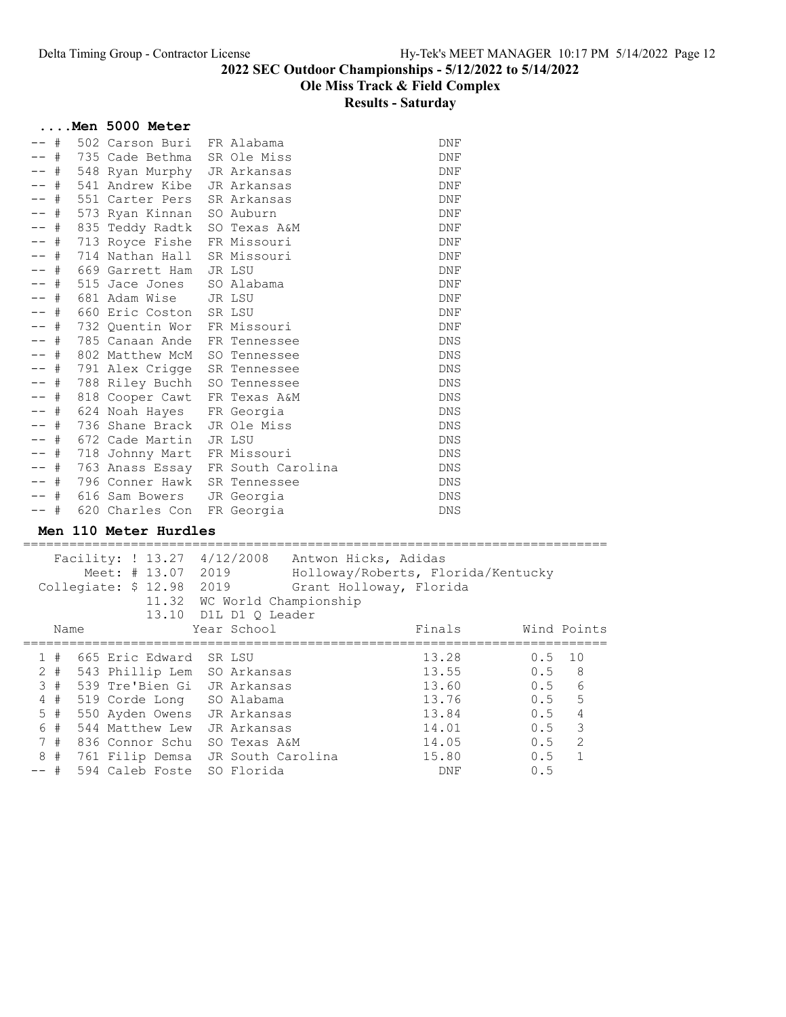|                             | Men 5000 Meter               |                                   |            |  |
|-----------------------------|------------------------------|-----------------------------------|------------|--|
| #                           | 502 Carson Buri              | FR Alabama                        | DNF        |  |
| -- #                        | 735 Cade Bethma              | SR Ole Miss                       | DNF        |  |
| -- #                        | 548 Ryan Murphy JR Arkansas  |                                   | <b>DNF</b> |  |
| -- #                        | 541 Andrew Kibe JR Arkansas  |                                   | DNF        |  |
| #                           | 551 Carter Pers SR Arkansas  |                                   | <b>DNF</b> |  |
| -- #                        | 573 Ryan Kinnan              | SO Auburn                         | DNF        |  |
| -- #                        | 835 Teddy Radtk              | SO Texas A&M                      | <b>DNF</b> |  |
| -- #                        | 713 Royce Fishe              | FR Missouri                       | DNF        |  |
| -- #                        | 714 Nathan Hall SR Missouri  |                                   | DNF        |  |
| -- #                        | 669 Garrett Ham JR LSU       |                                   | DNF        |  |
| #                           | 515 Jace Jones SO Alabama    |                                   | DNF        |  |
| -- #                        | 681 Adam Wise JR LSU         |                                   | <b>DNF</b> |  |
| -- #                        | 660 Eric Coston SR LSU       |                                   | DNF        |  |
| -- #                        | 732 Quentin Wor FR Missouri  |                                   | DNF        |  |
| -- #                        | 785 Canaan Ande              | FR Tennessee                      | <b>DNS</b> |  |
| -- #                        | 802 Matthew McM              | SO Tennessee                      | <b>DNS</b> |  |
| -- #                        | 791 Alex Crigge              | SR Tennessee                      | <b>DNS</b> |  |
| -- #                        | 788 Riley Buchh              | SO Tennessee                      | <b>DNS</b> |  |
| -- #                        | 818 Cooper Cawt              | FR Texas A&M                      | DNS        |  |
| -- #                        | 624 Noah Hayes FR Georgia    |                                   | <b>DNS</b> |  |
| -- #                        | 736 Shane Brack JR Ole Miss  |                                   | <b>DNS</b> |  |
| $+$                         | 672 Cade Martin              | JR LSU                            | <b>DNS</b> |  |
| -- #                        | 718 Johnny Mart FR Missouri  |                                   | DNS        |  |
| -- #                        |                              | 763 Anass Essay FR South Carolina | DNS        |  |
| #                           | 796 Conner Hawk SR Tennessee |                                   | DNS        |  |
| -- #                        | 616 Sam Bowers               | JR Georgia                        | DNS        |  |
| -- #                        | 620 Charles Con FR Georgia   |                                   | <b>DNS</b> |  |
| $\mathbf{v}$ . $\mathbf{v}$ | $110 \, M + 1 - 1 - 1$       |                                   |            |  |

#### Men 110 Meter Hurdles

|                  |      | Facility: ! 13.27 4/12/2008<br>Meet: # 13.07 2019<br>Collegiate: \$ 12.98 | 2019<br>11.32 WC World Championship<br>13.10 D1L D1 Q Leader | Antwon Hicks, Adidas<br>Holloway/Roberts, Florida/Kentucky<br>Grant Holloway, Florida |        |                |                |
|------------------|------|---------------------------------------------------------------------------|--------------------------------------------------------------|---------------------------------------------------------------------------------------|--------|----------------|----------------|
|                  | Name |                                                                           | Year School                                                  |                                                                                       | Finals |                | Wind Points    |
|                  |      | 1 # 665 Eric Edward SR LSU                                                |                                                              |                                                                                       | 13.28  | $0.5 \quad 10$ |                |
|                  |      | 2 # 543 Phillip Lem SO Arkansas                                           |                                                              |                                                                                       | 13.55  | 0.5 8          |                |
|                  | 3#   | 539 Tre'Bien Gi JR Arkansas                                               |                                                              |                                                                                       | 13.60  | 0.5            | 6              |
|                  | 4#   | 519 Corde Long SO Alabama                                                 |                                                              |                                                                                       | 13.76  | $0.5 - 5$      |                |
|                  | 5#   | 550 Ayden Owens JR Arkansas                                               |                                                              |                                                                                       | 13.84  | $0.5 -$        | $\overline{4}$ |
| $6 \overline{6}$ | #    | 544 Matthew Lew JR Arkansas                                               |                                                              |                                                                                       | 14.01  | $0.5$ 3        |                |
|                  | 7#   | 836 Connor Schu – SO Texas A&M                                            |                                                              |                                                                                       | 14.05  | $0.5 \t 2$     |                |
|                  | 8#   | 761 Filip Demsa JR South Carolina                                         |                                                              |                                                                                       | 15.80  | 0.5            | $\overline{1}$ |
| -- #             |      | 594 Caleb Foste SO Florida                                                |                                                              |                                                                                       | DNF    | 0.5            |                |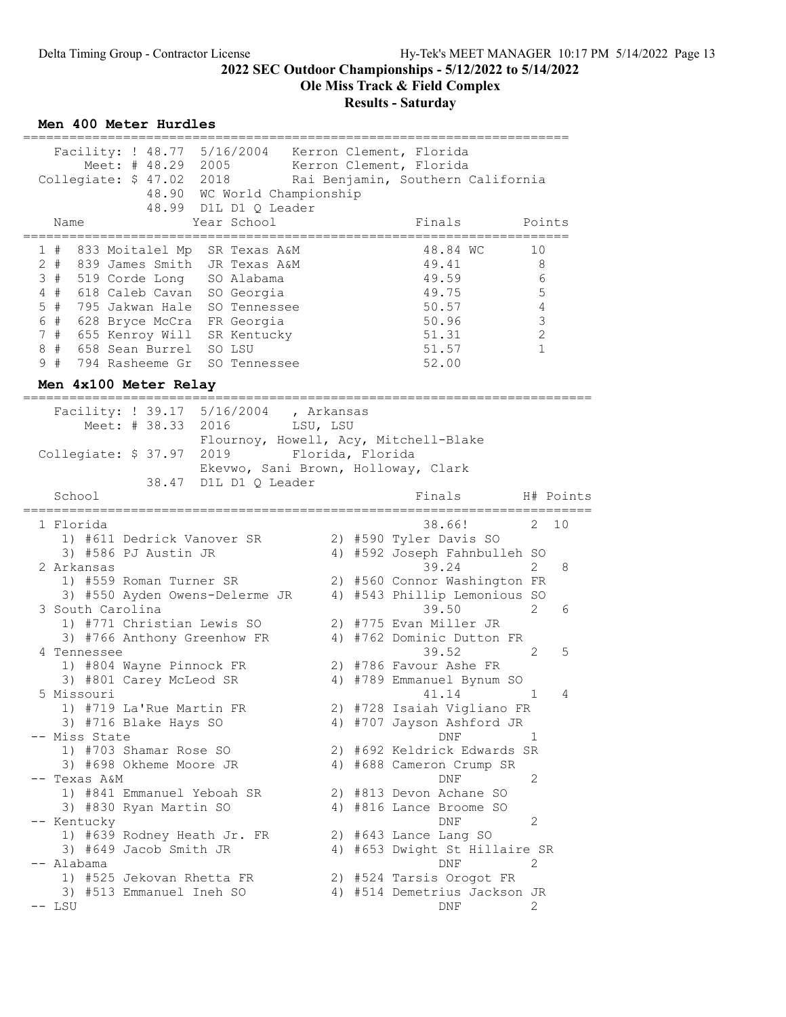Ole Miss Track & Field Complex

#### Results - Saturday

#### Men 400 Meter Hurdles ======================================================================= Facility: ! 48.77 5/16/2004 Kerron Clement, Florida Meet: # 48.29 2005 Kerron Clement, Florida Collegiate: \$ 47.02 2018 Rai Benjamin, Southern California 48.90 WC World Championship 48.99 D1L D1 Q Leader<br>Name Year School Year School Finals Points ======================================================================= 1 # 833 Moitalel Mp SR Texas A&M 48.84 WC 10 2 # 839 James Smith JR Texas A&M 49.41 8 3 # 519 Corde Long SO Alabama 49.59 6 4 # 618 Caleb Cavan SO Georgia 49.75 5 5 # 795 Jakwan Hale SO Tennessee 50.57 4 6 # 628 Bryce McCra FR Georgia 50.96 3 7 # 655 Kenroy Will SR Kentucky 51.31 2 8 # 658 Sean Burrel SO LSU 51.57 1 9 # 794 Rasheeme Gr SO Tennessee 52.00 Men 4x100 Meter Relay ========================================================================== Facility: ! 39.17 5/16/2004 , Arkansas Meet: # 38.33 2016 LSU, LSU Flournoy, Howell, Acy, Mitchell-Blake Collegiate: \$ 37.97 2019 Florida, Florida Ekevwo, Sani Brown, Holloway, Clark 38.47 D1L D1 Q Leader School **Finals** H# Points ========================================================================== 1 Florida 38.66! 2 10 1) #611 Dedrick Vanover SR 2) #590 Tyler Davis SO 3) #586 PJ Austin JR 4) #592 Joseph Fahnbulleh SO 2 Arkansas 39.24 2 8 1) #559 Roman Turner SR 2) #560 Connor Washington FR 3) #550 Ayden Owens-Delerme JR 4) #543 Phillip Lemonious SO 3 South Carolina 39.50 2 6 1) #771 Christian Lewis SO 2) #775 Evan Miller JR 3) #766 Anthony Greenhow FR 4) #762 Dominic Dutton FR 4 Tennessee 39.52 2 5 1) #804 Wayne Pinnock FR 2) #786 Favour Ashe FR 3) #801 Carey McLeod SR 4) #789 Emmanuel Bynum SO 5 Missouri 41.14 1 4 1) #719 La'Rue Martin FR 2) #728 Isaiah Vigliano FR 3) #716 Blake Hays SO 4) #707 Jayson Ashford JR -- Miss State 1 and 1 and 1 and 1 and 1 and 1 and 1 and 1 and 1 and 1 and 1 and 1 and 1 and 1 and 1 and 1 and 1 1) #703 Shamar Rose SO 2) #692 Keldrick Edwards SR 3) #698 Okheme Moore JR 4) #688 Cameron Crump SR -- Texas A&M DNF 2 1) #841 Emmanuel Yeboah SR 2) #813 Devon Achane SO 3) #830 Ryan Martin SO 4) #816 Lance Broome SO -- Kentucky 2 1) #639 Rodney Heath Jr. FR 2) #643 Lance Lang SO 3) #649 Jacob Smith JR 4) #653 Dwight St Hillaire SR -- Alabama DNF 2 1) #525 Jekovan Rhetta FR 2) #524 Tarsis Orogot FR 3) #513 Emmanuel Ineh SO 4) #514 Demetrius Jackson JR -- LSU DNF 2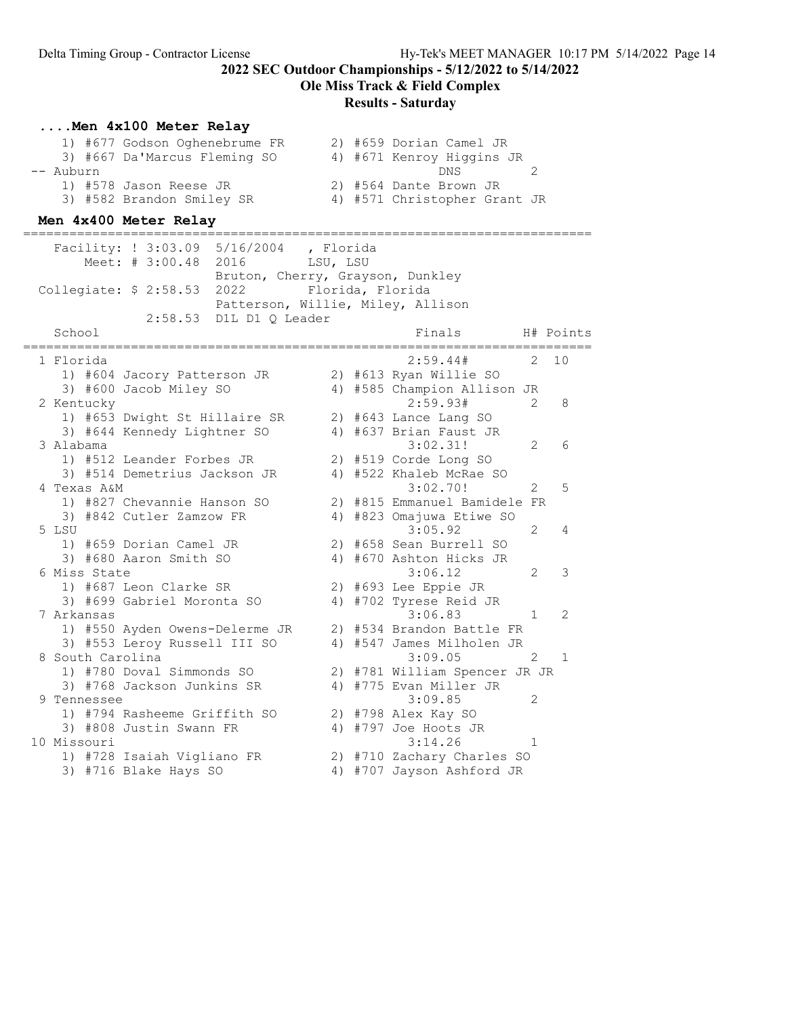Ole Miss Track & Field Complex

#### Results - Saturday

#### ....Men 4x100 Meter Relay

|           | 1) #677 Godson Oghenebrume FR |  | 2) #659 Dorian Camel JR      |          |
|-----------|-------------------------------|--|------------------------------|----------|
|           | 3) #667 Da'Marcus Fleming SO  |  | 4) #671 Kenroy Higgins JR    |          |
| -- Auburn |                               |  | DNS                          | $\gamma$ |
|           | 1) #578 Jason Reese JR        |  | 2) #564 Dante Brown JR       |          |
|           | 3) #582 Brandon Smiley SR     |  | 4) #571 Christopher Grant JR |          |

#### Men 4x400 Meter Relay

========================================================================== Facility: ! 3:03.09 5/16/2004 , Florida Meet: # 3:00.48 2016 LSU, LSU Bruton, Cherry, Grayson, Dunkley Collegiate: \$ 2:58.53 2022 Florida, Florida Patterson, Willie, Miley, Allison 2:58.53 D1L D1 Q Leader School Finals H# Points ========================================================================== 1 Florida 2:59.44# 2 10 1) #604 Jacory Patterson JR 2) #613 Ryan Willie SO 3) #600 Jacob Miley SO 4) #585 Champion Allison JR 2 Kentucky 2:59.93# 2 8 1) #653 Dwight St Hillaire SR 2) #643 Lance Lang SO 3) #644 Kennedy Lightner SO 4) #637 Brian Faust JR 3 Alabama 3:02.31! 2 6 1) #512 Leander Forbes JR 2) #519 Corde Long SO 3) #514 Demetrius Jackson JR 4) #522 Khaleb McRae SO 4 Texas A&M 3:02.70! 2 5 1) #827 Chevannie Hanson SO 2) #815 Emmanuel Bamidele FR 3) #842 Cutler Zamzow FR 4) #823 Omajuwa Etiwe SO 5 LSU 2 4 1) #659 Dorian Camel JR 2) #658 Sean Burrell SO 3) #680 Aaron Smith SO 4) #670 Ashton Hicks JR 6 Miss State 3:06.12 2 3 1) #687 Leon Clarke SR 2) #693 Lee Eppie JR 3) #699 Gabriel Moronta SO 4) #702 Tyrese Reid JR 7 Arkansas 3:06.83 1 2 1) #550 Ayden Owens-Delerme JR 2) #534 Brandon Battle FR 3) #553 Leroy Russell III SO 4) #547 James Milholen JR 8 South Carolina 3:09.05 2 1 1) #780 Doval Simmonds SO 2) #781 William Spencer JR JR 3) #768 Jackson Junkins SR 4) #775 Evan Miller JR 9 Tennessee 3:09.85 2 1) #794 Rasheeme Griffith SO 2) #798 Alex Kay SO 3) #808 Justin Swann FR 4) #797 Joe Hoots JR 10 Missouri 3:14.26 1 1) #728 Isaiah Vigliano FR 2) #710 Zachary Charles SO 3) #716 Blake Hays SO 4) #707 Jayson Ashford JR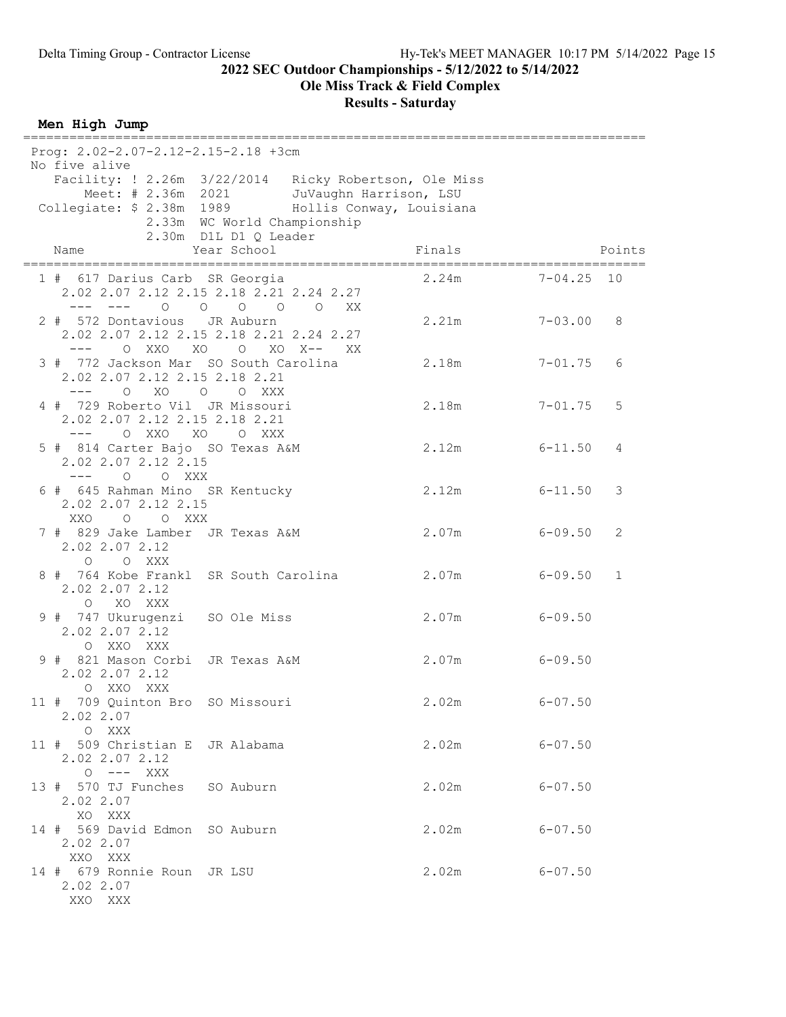Ole Miss Track & Field Complex

Results - Saturday

Men High Jump

|        | Prog: 2.02-2.07-2.12-2.15-2.18 +3cm<br>No five alive                                            |                                                      |                |        |             |              |
|--------|-------------------------------------------------------------------------------------------------|------------------------------------------------------|----------------|--------|-------------|--------------|
|        | Facility: ! 2.26m 3/22/2014 Ricky Robertson, Ole Miss                                           |                                                      |                |        |             |              |
|        | Meet: # 2.36m 2021 JuVaughn Harrison, LSU<br>Collegiate: \$ 2.38m 1989 Hollis Conway, Louisiana |                                                      |                |        |             |              |
|        |                                                                                                 | 2.33m WC World Championship<br>2.30m D1L D1 Q Leader |                |        |             |              |
|        | Name                                                                                            | Year School                                          |                | Finals |             | Points       |
|        | 1 # 617 Darius Carb SR Georgia<br>2.02 2.07 2.12 2.15 2.18 2.21 2.24 2.27<br>$---$              | $\begin{matrix} 0 & 0 & 0 & 0 & 0 \end{matrix}$      | XX X           | 2.24m  | 7-04.25     | 10           |
|        | 2 # 572 Dontavious JR Auburn<br>2.02 2.07 2.12 2.15 2.18 2.21 2.24 2.27<br>O XXO<br>XO<br>$---$ | $\overline{\phantom{0}}$                             | $XO X--$<br>XX | 2.21m  | $7 - 03.00$ | 8            |
|        | 3 # 772 Jackson Mar SO South Carolina<br>2.02 2.07 2.12 2.15 2.18 2.21<br>$---$<br>O XO O O XXX |                                                      |                | 2.18m  | $7 - 01.75$ | 6            |
|        | 4 # 729 Roberto Vil JR Missouri<br>2.02 2.07 2.12 2.15 2.18 2.21<br>O XXO<br>XO<br>$---$        | O XXX                                                |                | 2.18m  | $7 - 01.75$ | 5            |
|        | 5 # 814 Carter Bajo SO Texas A&M<br>2.02 2.07 2.12 2.15<br>--- 0 0 XXX                          |                                                      |                | 2.12m  | $6 - 11.50$ | 4            |
|        | 6 # 645 Rahman Mino SR Kentucky<br>2.02 2.07 2.12 2.15<br>O O XXX<br>XXO                        |                                                      |                | 2.12m  | $6 - 11.50$ | 3            |
|        | 7 # 829 Jake Lamber JR Texas A&M<br>2.02 2.07 2.12<br>O O XXX                                   |                                                      |                | 2.07m  | $6 - 09.50$ | 2            |
|        | 8 # 764 Kobe Frankl SR South Carolina<br>2.02 2.07 2.12<br>$\circ$<br>XO XXX                    |                                                      |                | 2.07m  | $6 - 09.50$ | $\mathbf{1}$ |
|        | 9 # 747 Ukurugenzi SO Ole Miss<br>2.02 2.07 2.12<br>O XXO XXX                                   |                                                      |                | 2.07m  | $6 - 09.50$ |              |
|        | 9 # 821 Mason Corbi JR Texas A&M<br>2.02 2.07 2.12<br>XXO XXX<br>$\circ$                        |                                                      |                | 2.07m  | $6 - 09.50$ |              |
| $11$ # | 709 Quinton Bro SO Missouri<br>2.02 2.07<br>O XXX                                               |                                                      |                | 2.02m  | $6 - 07.50$ |              |
|        | 11 # 509 Christian E JR Alabama<br>2.02 2.07 2.12<br>$O$ --- XXX                                |                                                      |                | 2.02m  | $6 - 07.50$ |              |
|        | 13 # 570 TJ Funches SO Auburn<br>2.02 2.07<br>XO XXX                                            |                                                      |                | 2.02m  | $6 - 07.50$ |              |
|        | 14 # 569 David Edmon SO Auburn<br>2.02 2.07<br>XXO XXX                                          |                                                      |                | 2.02m  | $6 - 07.50$ |              |
|        | 14 # 679 Ronnie Roun JR LSU<br>2.02 2.07<br>XXO XXX                                             |                                                      |                | 2.02m  | $6 - 07.50$ |              |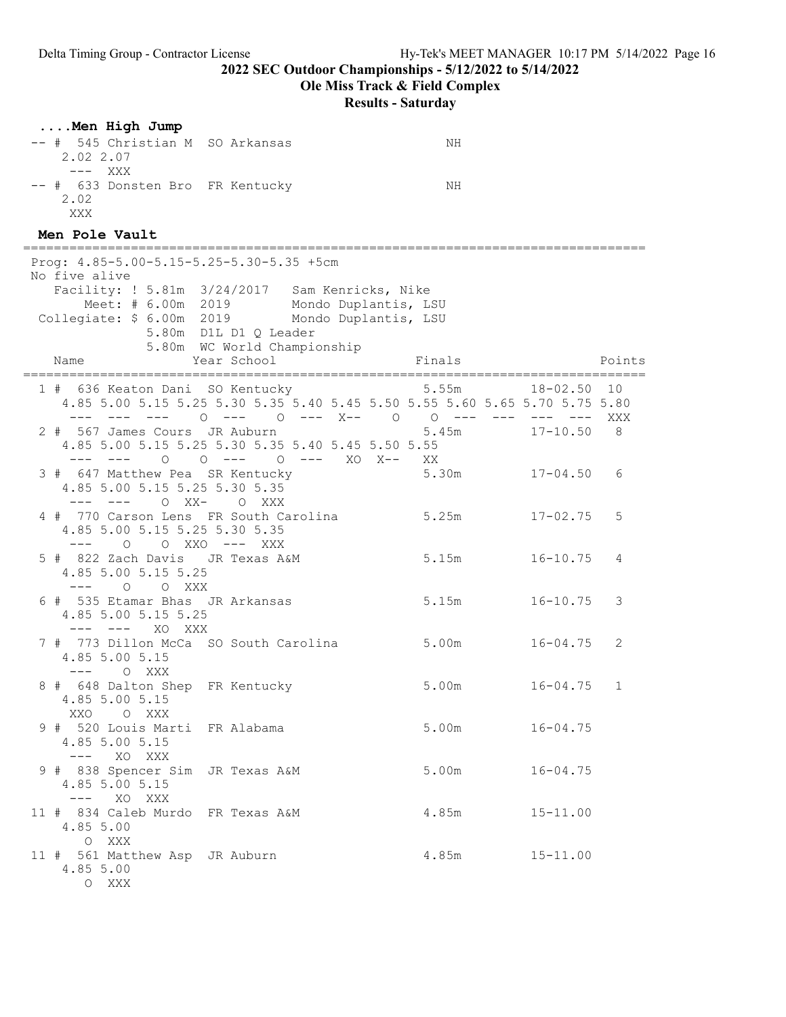Ole Miss Track & Field Complex

| Men High Jump                                                                                                            |                                                      |                                                                                     |              |        |
|--------------------------------------------------------------------------------------------------------------------------|------------------------------------------------------|-------------------------------------------------------------------------------------|--------------|--------|
| -- # 545 Christian M SO Arkansas<br>2.02 2.07<br>$---$ XXX                                                               |                                                      | NH                                                                                  |              |        |
| -- # 633 Donsten Bro FR Kentucky<br>2.02<br>XXX                                                                          |                                                      | ΝH                                                                                  |              |        |
| Men Pole Vault                                                                                                           |                                                      |                                                                                     |              |        |
| Prog: $4.85 - 5.00 - 5.15 - 5.25 - 5.30 - 5.35 + 5cm$<br>No five alive<br>Facility: ! 5.81m 3/24/2017 Sam Kenricks, Nike | Meet: # 6.00m 2019 Mondo Duplantis, LSU              |                                                                                     |              |        |
| Collegiate: \$ 6.00m 2019 Mondo Duplantis, LSU                                                                           | 5.80m D1L D1 Q Leader<br>5.80m WC World Championship |                                                                                     |              |        |
| Name                                                                                                                     | Year School                                          | Finals                                                                              |              | Points |
| 1 # 636 Keaton Dani SO Kentucky                                                                                          |                                                      | 5.55m<br>4.85 5.00 5.15 5.25 5.30 5.35 5.40 5.45 5.50 5.55 5.60 5.65 5.70 5.75 5.80 | 18-02.50     | 10     |
| 2 # 567 James Cours JR Auburn<br>4.85 5.00 5.15 5.25 5.30 5.35 5.40 5.45 5.50 5.55<br>--- ---                            | 0 0 --- 0 --- XO X-- XX                              | 5.45m                                                                               | $17 - 10.50$ | 8      |
| 3 # 647 Matthew Pea SR Kentucky<br>4.85 5.00 5.15 5.25 5.30 5.35<br>--- 0 XX- 0 XXX                                      |                                                      | $5.30m$ $17-04.50$                                                                  |              | 6      |
| 4 # 770 Carson Lens FR South Carolina<br>4.85 5.00 5.15 5.25 5.30 5.35<br>0 0 XXO --- XXX<br>$---$                       |                                                      | 5.25m                                                                               | $17 - 02.75$ | 5      |
| 5 # 822 Zach Davis JR Texas A&M<br>4.85 5.00 5.15 5.25<br>--- 0 0 XXX                                                    |                                                      | 5.15m                                                                               | $16 - 10.75$ | 4      |
| 6 # 535 Etamar Bhas JR Arkansas<br>4.85 5.00 5.15 5.25<br>XO XXX<br>——— ——— —                                            |                                                      | 5.15m                                                                               | $16 - 10.75$ | 3      |
| 7 # 773 Dillon McCa SO South Carolina<br>4.85 5.00 5.15<br>O XXX<br>$---$                                                |                                                      | 5.00m                                                                               | 16-04.75     | 2      |
| 8 # 648 Dalton Shep FR Kentucky<br>4.85 5.00 5.15<br>XXO OXXX                                                            |                                                      | 5.00m                                                                               | $16 - 04.75$ | 1      |
| 9 # 520 Louis Marti FR Alabama<br>4.85 5.00 5.15<br>--- XO XXX                                                           |                                                      | 5.00m                                                                               | $16 - 04.75$ |        |
| 9 # 838 Spencer Sim JR Texas A&M<br>4.85 5.00 5.15<br>$---$ XO XXX                                                       |                                                      | 5.00m                                                                               | $16 - 04.75$ |        |
| 11 # 834 Caleb Murdo FR Texas A&M<br>4.85 5.00<br>O XXX                                                                  |                                                      | 4.85m                                                                               | $15 - 11.00$ |        |
| 11 # 561 Matthew Asp JR Auburn<br>4.85 5.00<br>O XXX                                                                     |                                                      | 4.85m                                                                               | $15 - 11.00$ |        |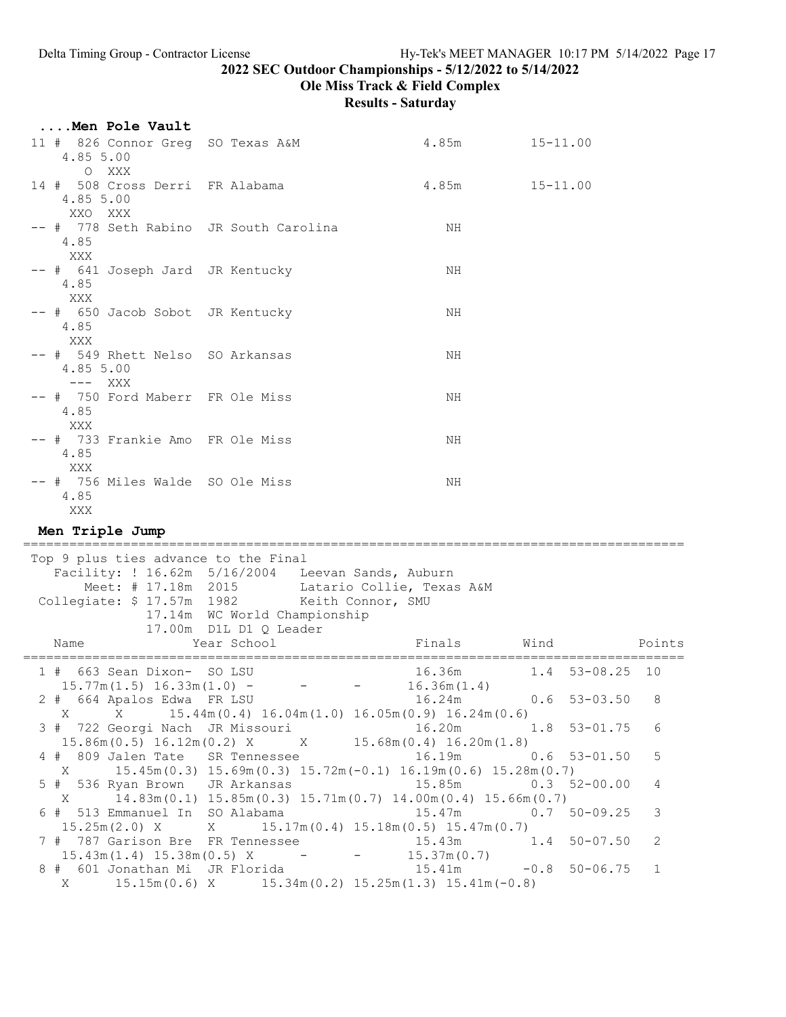Ole Miss Track & Field Complex

| Men Pole Vault                                                                       |                                                        |                                                                                                      |                        |              |
|--------------------------------------------------------------------------------------|--------------------------------------------------------|------------------------------------------------------------------------------------------------------|------------------------|--------------|
| 11 # 826 Connor Greg SO Texas A&M<br>4.85 5.00<br>O XXX                              |                                                        | $4.85m$ $15-11.00$                                                                                   |                        |              |
| 14 # 508 Cross Derri FR Alabama<br>4.85 5.00<br>XXO XXX                              |                                                        | 4.85m    15-11.00                                                                                    |                        |              |
| -- # 778 Seth Rabino JR South Carolina<br>4.85<br>XXX                                |                                                        | ΝH                                                                                                   |                        |              |
| -- # 641 Joseph Jard JR Kentucky<br>4.85<br>XXX                                      |                                                        | NH                                                                                                   |                        |              |
| -- # 650 Jacob Sobot JR Kentucky<br>4.85<br>XXX                                      |                                                        | ΝH                                                                                                   |                        |              |
| -- # 549 Rhett Nelso SO Arkansas<br>4.85 5.00<br>$---$ XXX                           |                                                        | NH                                                                                                   |                        |              |
| -- # 750 Ford Maberr FR Ole Miss<br>4.85<br>XXX                                      |                                                        | ΝH                                                                                                   |                        |              |
| -- # 733 Frankie Amo FR Ole Miss<br>4.85<br>XXX                                      |                                                        | NH                                                                                                   |                        |              |
| -- # 756 Miles Walde SO Ole Miss<br>4.85<br>XXX                                      |                                                        | ΝH                                                                                                   |                        |              |
| Men Triple Jump                                                                      |                                                        |                                                                                                      |                        |              |
| Top 9 plus ties advance to the Final<br>Collegiate: \$ 17.57m 1982 Keith Connor, SMU | 17.14m WC World Championship<br>17.00m D1L D1 Q Leader | Facility: ! 16.62m 5/16/2004 Leevan Sands, Auburn<br>Meet: # 17.18m 2015 Latario Collie, Texas A&M   |                        |              |
| Name                                                                                 | Year School                                            | Finals                                                                                               | Wind                   | Points       |
| 1 # 663 Sean Dixon- SO LSU                                                           |                                                        | 16.36m                                                                                               | $1.4$ 53-08.25         | 10           |
| 2 # 664 Apalos Edwa FR LSU                                                           | $15.77m(1.5) 16.33m(1.0) - - -$                        | 16.36m(1.4)<br>16.24m                                                                                | 0.6<br>$53 - 03.50$    | 8            |
|                                                                                      |                                                        | X X 15.47m(s.ft)<br>3 # 722 Georgi Nach JR Missouri<br>2 (2 A 2 17m(0.2) X X 15.68m(0.4) 16.20m(1.8) | $53 - 01.75$<br>1.8    | 6            |
| $X \sim$                                                                             |                                                        | $15.45m(0.3)$ $15.69m(0.3)$ $15.72m(-0.1)$ $16.19m(0.6)$ $15.28m(0.7)$                               | 0.6<br>$53 - 01.50$    | 5            |
| 5 # 536 Ryan Brown JR Arkansas                                                       |                                                        | 15.85m<br>$14.83$ m $(0.1)$ 15.85m $(0.3)$ 15.71m $(0.7)$ 14.00m $(0.4)$ 15.66m $(0.7)$              | $52 - 00.00$<br>0.3    | 4            |
| $X \sim$<br>6 # 513 Emmanuel In SO Alabama                                           |                                                        | 15.47m<br>$15.17m(0.4)$ $15.18m(0.5)$ $15.47m(0.7)$                                                  | $50 - 09.25$<br>0.7    | 3            |
| 15.25m(2.0) X<br>7 # 787 Garison Bre FR Tennessee<br>$15.43m(1.4)$ $15.38m(0.5)$ X - | X                                                      | 15.43m<br>15.37m(0.7)                                                                                | $50 - 07.50$<br>1.4    | 2            |
| 8 # 601 Jonathan Mi JR Florida<br>X                                                  |                                                        | 15.41m<br>$15.15m(0.6)$ X $15.34m(0.2)$ $15.25m(1.3)$ $15.41m(-0.8)$                                 | $-0.8$<br>$50 - 06.75$ | $\mathbf{1}$ |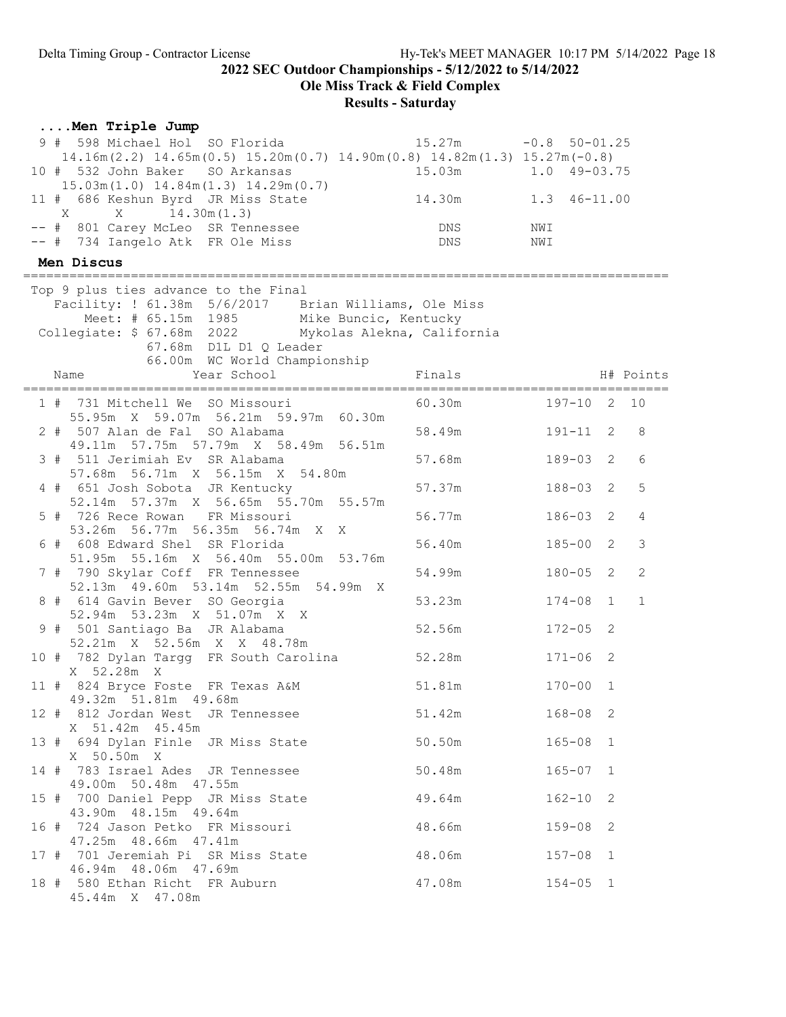Ole Miss Track & Field Complex

| Men Triple Jump                                                                      |                        |                  |              |                |
|--------------------------------------------------------------------------------------|------------------------|------------------|--------------|----------------|
| 9 # 598 Michael Hol SO Florida                                                       | $15.27m -0.8 50-01.25$ |                  |              |                |
| $14.16m(2.2)$ $14.65m(0.5)$ $15.20m(0.7)$ $14.90m(0.8)$ $14.82m(1.3)$ $15.27m(-0.8)$ |                        |                  |              |                |
| 10 # 532 John Baker SO Arkansas<br>$15.03m(1.0)$ $14.84m(1.3)$ $14.29m(0.7)$         | 15.03m                 | $1.0$ $49-03.75$ |              |                |
| 11 # 686 Keshun Byrd JR Miss State                                                   | 14.30m                 | 1.3 46-11.00     |              |                |
| -- # 801 Carey McLeo SR Tennessee<br>-- # 734 Iangelo Atk FR Ole Miss                | DNS<br>DNS             | NWI<br>NWI       |              |                |
| Men Discus                                                                           |                        |                  |              |                |
| Top 9 plus ties advance to the Final                                                 |                        |                  |              |                |
| Facility: ! 61.38m 5/6/2017 Brian Williams, Ole Miss                                 |                        |                  |              |                |
| Meet: # 65.15m 1985 Mike Buncic, Kentucky                                            |                        |                  |              |                |
| Collegiate: \$ 67.68m 2022 Mykolas Alekna, California                                |                        |                  |              |                |
| 67.68m D1L D1 Q Leader<br>66.00m WC World Championship                               |                        |                  |              |                |
| Year School<br>Name                                                                  | Finals                 |                  |              | H# Points      |
|                                                                                      |                        |                  |              |                |
| 1 # 731 Mitchell We SO Missouri                                                      | 60.30m                 | 197-10 2 10      |              |                |
| 55.95m X 59.07m 56.21m 59.97m 60.30m                                                 |                        |                  |              | 8              |
| 2 # 507 Alan de Fal SO Alabama<br>49.11m 57.75m 57.79m X 58.49m 56.51m               | 58.49m                 | $191 - 11$ 2     |              |                |
| 3 # 511 Jerimiah Ev SR Alabama                                                       | 57.68m                 | 189-03           | 2            | 6              |
| 57.68m 56.71m X 56.15m X 54.80m                                                      |                        |                  |              |                |
| 4 # 651 Josh Sobota JR Kentucky                                                      | 57.37m                 | $188 - 03$       | 2            | 5              |
| 52.14m 57.37m X 56.65m 55.70m 55.57m<br>5 # 726 Rece Rowan FR Missouri               | 56.77m                 | 186-03           | 2            | 4              |
| 53.26m 56.77m 56.35m 56.74m X X                                                      |                        |                  |              |                |
| 6 # 608 Edward Shel SR Florida                                                       | 56.40m                 | $185 - 00$       | 2            | 3              |
| 51.95m 55.16m X 56.40m 55.00m 53.76m                                                 |                        |                  |              |                |
| 7 # 790 Skylar Coff FR Tennessee                                                     | 54.99m                 | $180 - 05$ 2     |              | $\overline{2}$ |
| 52.13m  49.60m  53.14m  52.55m  54.99m  X<br>8 # 614 Gavin Bever SO Georgia          | 53.23m                 | $174 - 08$       | $\mathbf{1}$ | $\mathbf{1}$   |
| 52.94m 53.23m X 51.07m X X                                                           |                        |                  |              |                |
| 9 # 501 Santiago Ba JR Alabama                                                       | 52.56m                 | $172 - 05$       | 2            |                |
| 52.21m X 52.56m X X 48.78m                                                           |                        |                  |              |                |
| 10 # 782 Dylan Targg FR South Carolina<br>X 52.28m X                                 | 52.28m                 | $171 - 06$       | 2            |                |
| 11 # 824 Bryce Foste FR Texas A&M                                                    | 51.81m                 | $170 - 00$       | 1            |                |
| 49.32m 51.81m 49.68m                                                                 |                        |                  |              |                |
| 12 # 812 Jordan West JR Tennessee                                                    | 51.42m                 | $168 - 08$ 2     |              |                |
| X 51.42m 45.45m<br>13 # 694 Dylan Finle JR Miss State                                | 50.50m                 | $165 - 08$ 1     |              |                |
| X 50.50m X                                                                           |                        |                  |              |                |
| 14 # 783 Israel Ades JR Tennessee                                                    | 50.48m                 | $165 - 07$ 1     |              |                |
| 49.00m 50.48m 47.55m                                                                 |                        |                  |              |                |
| 15 # 700 Daniel Pepp JR Miss State 49.64m                                            |                        | $162 - 10$       | 2            |                |
| 43.90m 48.15m 49.64m<br>16 # 724 Jason Petko FR Missouri 48.66m                      |                        | $159 - 08$       | 2            |                |
| 47.25m 48.66m 47.41m                                                                 |                        |                  |              |                |
| 17 # 701 Jeremiah Pi SR Miss State 48.06m                                            |                        | $157 - 08$ 1     |              |                |
| 46.94m 48.06m 47.69m                                                                 |                        |                  |              |                |
| 18 # 580 Ethan Richt FR Auburn<br>45.44m X 47.08m                                    | 47.08m                 | $154 - 05$ 1     |              |                |